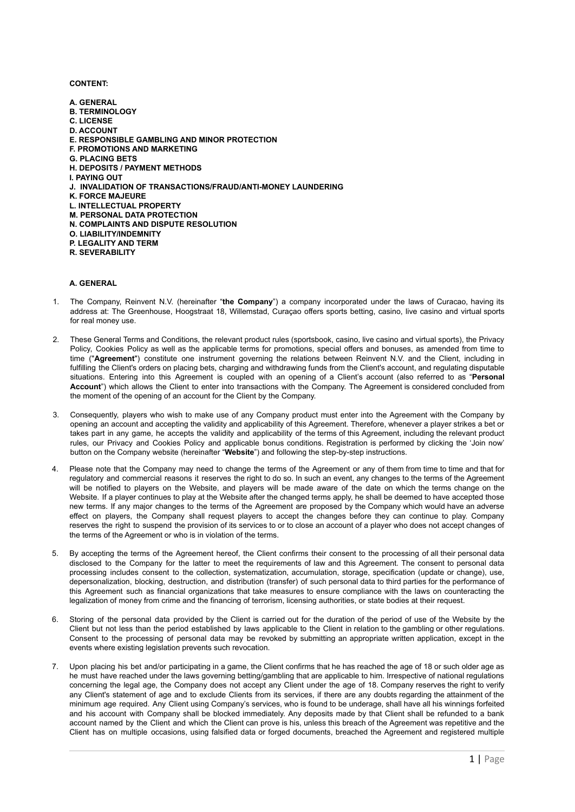**CONTENT:**

**A. GENERAL B. TERMINOLOGY C. LICENSE D. ACCOUNT E. RESPONSIBLE GAMBLING AND MINOR PROTECTION F. PROMOTIONS AND MARKETING G. PLACING BETS H. DEPOSITS / PAYMENT METHODS I. PAYING OUT J. INVALIDATION OF TRANSACTIONS/FRAUD/ANTI-MONEY LAUNDERING K. FORCE MAJEURE L. INTELLECTUAL PROPERTY M. PERSONAL DATA PROTECTION N. COMPLAINTS AND DISPUTE RESOLUTION O. LIABILITY/INDEMNITY P. LEGALITY AND TERM R. SEVERABILITY**

## **A. GENERAL**

- 1. The Company, Reinvent N.V. (hereinafter "**the Company**") a company incorporated under the laws of Curacao, having its address at: The Greenhouse, Hoogstraat 18, Willemstad, Curaçao offers sports betting, casino, live casino and virtual sports for real money use.
- 2. These General Terms and Conditions, the relevant product rules (sportsbook, casino, live casino and virtual sports), the Privacy Policy, Cookies Policy as well as the applicable terms for promotions, special offers and bonuses, as amended from time to time ("**Agreement**") constitute one instrument governing the relations between Reinvent N.V. and the Client, including in fulfilling the Client's orders on placing bets, charging and withdrawing funds from the Client's account, and regulating disputable situations. Entering into this Agreement is coupled with an opening of a Сlient's account (also referred to as "**Personal Account**") which allows the Client to enter into transactions with the Company. The Agreement is considered concluded from the moment of the opening of an account for the Client by the Company.
- Consequently, players who wish to make use of any Company product must enter into the Agreement with the Company by opening an account and accepting the validity and applicability of this Agreement. Therefore, whenever a player strikes a bet or takes part in any game, he accepts the validity and applicability of the terms of this Agreement, including the relevant product rules, our Privacy and Cookies Policy and applicable bonus conditions. Registration is performed by clicking the 'Join now' button on the Company website (hereinafter "**Website**") and following the step-by-step instructions.
- 4. Please note that the Company may need to change the terms of the Agreement or any of them from time to time and that for regulatory and commercial reasons it reserves the right to do so. In such an event, any changes to the terms of the Agreement will be notified to players on the Website, and players will be made aware of the date on which the terms change on the Website. If a player continues to play at the Website after the changed terms apply, he shall be deemed to have accepted those new terms. If any major changes to the terms of the Agreement are proposed by the Company which would have an adverse effect on players, the Company shall request players to accept the changes before they can continue to play. Company reserves the right to suspend the provision of its services to or to close an account of a player who does not accept changes of the terms of the Agreement or who is in violation of the terms.
- 5. By accepting the terms of the Agreement hereof, the Client confirms their consent to the processing of all their personal data disclosed to the Company for the latter to meet the requirements of law and this Agreement. The consent to personal data processing includes consent to the collection, systematization, accumulation, storage, specification (update or change), use, depersonalization, blocking, destruction, and distribution (transfer) of such personal data to third parties for the performance of this Agreement such as financial organizations that take measures to ensure compliance with the laws on counteracting the legalization of money from crime and the financing of terrorism, licensing authorities, or state bodies at their request.
- 6. Storing of the personal data provided by the Client is carried out for the duration of the period of use of the Website by the Client but not less than the period established by laws applicable to the Client in relation to the gambling or other regulations. Consent to the processing of personal data may be revoked by submitting an appropriate written application, except in the events where existing legislation prevents such revocation.
- 7. Upon placing his bet and/or participating in a game, the Client confirms that he has reached the age of 18 or such older age as he must have reached under the laws governing betting/gambling that are applicable to him. Irrespective of national regulations concerning the legal age, the Company does not accept any Client under the age of 18. Company reserves the right to verify any Client's statement of age and to exclude Clients from its services, if there are any doubts regarding the attainment of the minimum age required. Any Client using Company's services, who is found to be underage, shall have all his winnings forfeited and his account with Company shall be blocked immediately. Any deposits made by that Client shall be refunded to a bank account named by the Client and which the Client can prove is his, unless this breach of the Agreement was repetitive and the Client has on multiple occasions, using falsified data or forged documents, breached the Agreement and registered multiple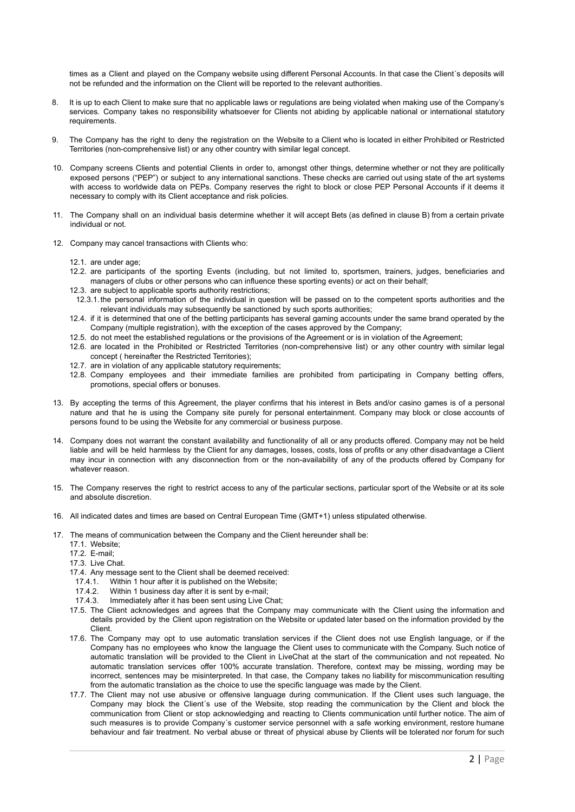times as a Client and played on the Company website using different Personal Accounts. In that case the Client´s deposits will not be refunded and the information on the Client will be reported to the relevant authorities.

- 8. It is up to each Client to make sure that no applicable laws or regulations are being violated when making use of the Company's services. Company takes no responsibility whatsoever for Clients not abiding by applicable national or international statutory requirements.
- 9. The Company has the right to deny the registration on the Website to a Client who is located in either Prohibited or Restricted Territories (non-comprehensive list) or any other country with similar legal concept.
- 10. Company screens Clients and potential Clients in order to, amongst other things, determine whether or not they are politically exposed persons ("PEP") or subject to any international sanctions. These checks are carried out using state of the art systems with access to worldwide data on PEPs. Company reserves the right to block or close PEP Personal Accounts if it deems it necessary to comply with its Client acceptance and risk policies.
- 11. The Company shall on an individual basis determine whether it will accept Bets (as defined in clause B) from a certain private individual or not.
- 12. Company may cancel transactions with Clients who:
	- 12.1. are under age;
	- 12.2. are participants of the sporting Events (including, but not limited to, sportsmen, trainers, judges, beneficiaries and managers of clubs or other persons who can influence these sporting events) or act on their behalf;
	- 12.3. are subject to applicable sports authority restrictions;
	- 12.3.1.the personal information of the individual in question will be passed on to the competent sports authorities and the relevant individuals may subsequently be sanctioned by such sports authorities;
	- 12.4. if it is determined that one of the betting participants has several gaming accounts under the same brand operated by the Company (multiple registration), with the exception of the cases approved by the Company;
	- 12.5. do not meet the established regulations or the provisions of the Agreement or is in violation of the Agreement;
	- 12.6. are located in the Prohibited or Restricted Territories (non-comprehensive list) or any other country with similar legal concept ( hereinafter the Restricted Territories);
	- 12.7. are in violation of any applicable statutory requirements:
	- 12.8. Company employees and their immediate families are prohibited from participating in Company betting offers, promotions, special offers or bonuses.
- 13. By accepting the terms of this Agreement, the player confirms that his interest in Bets and/or casino games is of a personal nature and that he is using the Company site purely for personal entertainment. Company may block or close accounts of persons found to be using the Website for any commercial or business purpose.
- 14. Company does not warrant the constant availability and functionality of all or any products offered. Company may not be held liable and will be held harmless by the Client for any damages, losses, costs, loss of profits or any other disadvantage a Client may incur in connection with any disconnection from or the non-availability of any of the products offered by Company for whatever reason.
- 15. The Company reserves the right to restrict access to any of the particular sections, particular sport of the Website or at its sole and absolute discretion.
- 16. All indicated dates and times are based on Central European Time (GMT+1) unless stipulated otherwise.
- 17. The means of communication between the Company and the Client hereunder shall be:
	- 17.1. Website;
	- 17.2. E-mail;
	- 17.3. Live Chat.
	- 17.4. Any message sent to the Client shall be deemed received:
	- 17.4.1. Within 1 hour after it is published on the Website;<br>17.4.2 Within 1 business day after it is sent by e-mail:
	- Within 1 business day after it is sent by e-mail;
	- 17.4.3. Immediately after it has been sent using Live Chat;
	- 17.5. The Client acknowledges and agrees that the Company may communicate with the Client using the information and details provided by the Client upon registration on the Website or updated later based on the information provided by the Client.
	- 17.6. The Company may opt to use automatic translation services if the Client does not use English language, or if the Company has no employees who know the language the Client uses to communicate with the Company. Such notice of automatic translation will be provided to the Client in LiveChat at the start of the communication and not repeated. No automatic translation services offer 100% accurate translation. Therefore, context may be missing, wording may be incorrect, sentences may be misinterpreted. In that case, the Company takes no liability for miscommunication resulting from the automatic translation as the choice to use the specific language was made by the Client.
	- 17.7. The Client may not use abusive or offensive language during communication. If the Client uses such language, the Company may block the Client´s use of the Website, stop reading the communication by the Client and block the communication from Client or stop acknowledging and reacting to Clients communication until further notice. The aim of such measures is to provide Company's customer service personnel with a safe working environment, restore humane behaviour and fair treatment. No verbal abuse or threat of physical abuse by Clients will be tolerated nor forum for such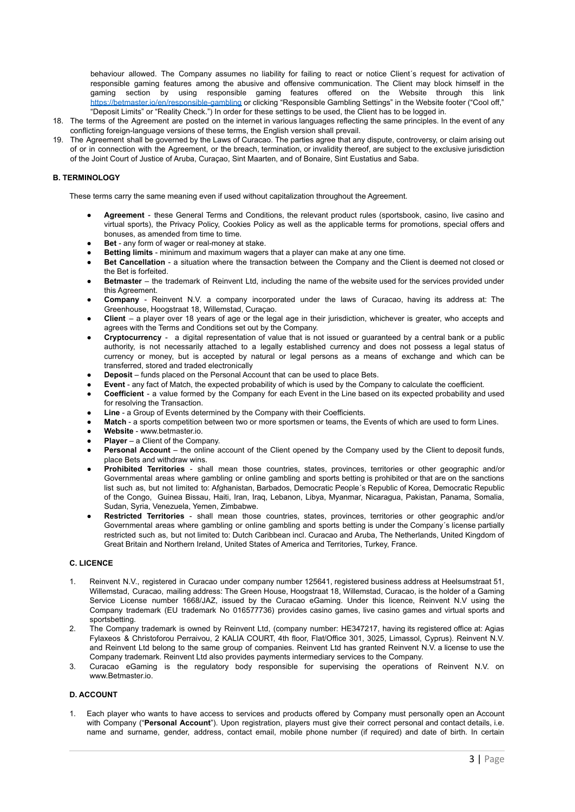behaviour allowed. The Company assumes no liability for failing to react or notice Client´s request for activation of responsible gaming features among the abusive and offensive communication. The Client may block himself in the gaming section by using responsible gaming features offered on the Website through this link <https://betmaster.io/en/responsible-gambling> or clicking "Responsible Gambling Settings" in the Website footer ("Cool off," "Deposit Limits" or "Reality Check.") In order for these settings to be used, the Client has to be logged in.

- 18. The terms of the Agreement are posted on the internet in various languages reflecting the same principles. In the event of any conflicting foreign-language versions of these terms, the English version shall prevail.
- 19. The Agreement shall be governed by the Laws of Curacao. The parties agree that any dispute, controversy, or claim arising out of or in connection with the Agreement, or the breach, termination, or invalidity thereof, are subject to the exclusive jurisdiction of the Joint Court of Justice of Aruba, Curaçao, Sint Maarten, and of Bonaire, Sint Eustatius and Saba.

## **B. TERMINOLOGY**

These terms carry the same meaning even if used without capitalization throughout the Agreement.

- Agreement these General Terms and Conditions, the relevant product rules (sportsbook, casino, live casino and virtual sports), the Privacy Policy, Cookies Policy as well as the applicable terms for promotions, special offers and bonuses, as amended from time to time.
- **Bet** any form of wager or real-money at stake.
- **Betting limits** minimum and maximum wagers that a player can make at any one time.
- **Bet Cancellation** a situation where the transaction between the Company and the Client is deemed not closed or the Bet is forfeited.
- **Betmaster** the trademark of Reinvent Ltd, including the name of the website used for the services provided under this Agreement.
- **Company** Reinvent N.V. a company incorporated under the laws of Curacao, having its address at: The Greenhouse, Hoogstraat 18, Willemstad, Curaçao.
- **Client** a player over 18 years of age or the legal age in their jurisdiction, whichever is greater, who accepts and agrees with the Terms and Conditions set out by the Company.
- **Cryptocurrency** a digital representation of value that is not issued or guaranteed by a central bank or a public authority, is not necessarily attached to a legally established currency and does not possess a legal status of currency or money, but is accepted by natural or legal persons as a means of exchange and which can be transferred, stored and traded electronically
- **Deposit** funds placed on the Personal Account that can be used to place Bets.
- **Event** any fact of Match, the expected probability of which is used by the Company to calculate the coefficient.
- Coefficient a value formed by the Company for each Event in the Line based on its expected probability and used for resolving the Transaction.
- **Line** a Group of Events determined by the Company with their Coefficients.
- **Match** a sports competition between two or more sportsmen or teams, the Events of which are used to form Lines.
- **Website** www.betmaster.io.
- **● Player** a Client of the Company.
- **Personal Account** the online account of the Client opened by the Company used by the Client to deposit funds, place Bets and withdraw wins.
- **Prohibited Territories** shall mean those countries, states, provinces, territories or other geographic and/or Governmental areas where gambling or online gambling and sports betting is prohibited or that are on the sanctions list such as, but not limited to: Afghanistan, Barbados, Democratic People´s Republic of Korea, Democratic Republic of the Congo, Guinea Bissau, Haiti, Iran, Iraq, Lebanon, Libya, Myanmar, Nicaragua, Pakistan, Panama, Somalia, Sudan, Syria, Venezuela, Yemen, Zimbabwe.
- **Restricted Territories** shall mean those countries, states, provinces, territories or other geographic and/or Governmental areas where gambling or online gambling and sports betting is under the Company´s license partially restricted such as, but not limited to: Dutch Caribbean incl. Curacao and Aruba, The Netherlands, United Kingdom of Great Britain and Northern Ireland, United States of America and Territories, Turkey, France.

#### **C. LICENCE**

- 1. Reinvent N.V., registered in Curacao under company number 125641, registered business address at Heelsumstraat 51, Willemstad, Curacao, mailing address: The Green House, Hoogstraat 18, Willemstad, Curacao, is the holder of a Gaming Service License number 1668/JAZ, issued by the [Curacao](http://curacao) eGaming. Under this licence, Reinvent N.V using the Company trademark (EU trademark No 016577736) provides casino games, live casino games and virtual sports and sportsbetting.
- 2. The Company trademark is owned by Reinvent Ltd, (company number: HE347217, having its registered office at: Agias Fylaxeos & Christoforou Perraivou, 2 KALIA COURT, 4th floor, Flat/Office 301, 3025, Limassol, Cyprus). Reinvent N.V. and Reinvent Ltd belong to the same group of companies. Reinvent Ltd has granted Reinvent N.V. a license to use the Company trademark. Reinvent Ltd also provides payments intermediary services to the Company.
- 3. [Curacao](http://curacao) eGaming is the regulatory body responsible for supervising the operations of Reinvent N.V. on www.Betmaster.io.

## **D. ACCOUNT**

1. Each player who wants to have access to services and products offered by Company must personally open an Account with Company ("**Personal Account**"). Upon registration, players must give their correct personal and contact details, i.e. name and surname, gender, address, contact email, mobile phone number (if required) and date of birth. In certain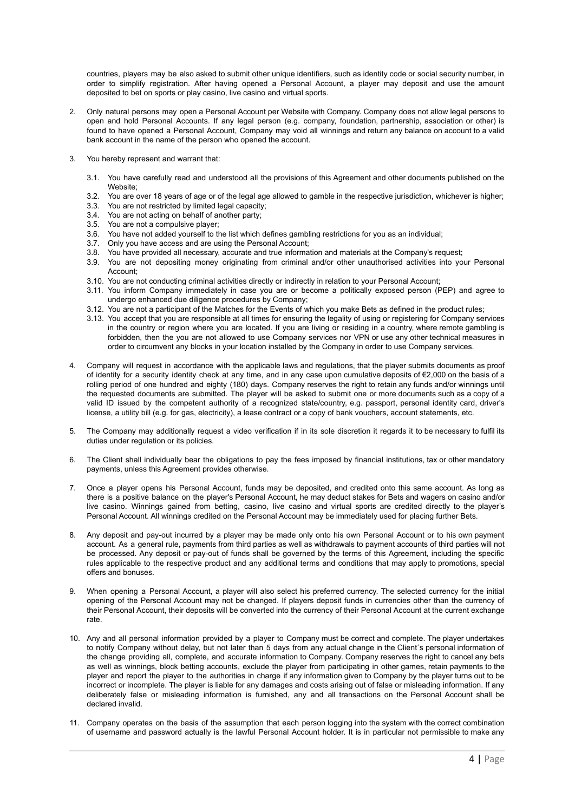countries, players may be also asked to submit other unique identifiers, such as identity code or social security number, in order to simplify registration. After having opened a Personal Account, a player may deposit and use the amount deposited to bet on sports or play casino, live casino and virtual sports.

- 2. Only natural persons may open a Personal Account per Website with Company. Company does not allow legal persons to open and hold Personal Accounts. If any legal person (e.g. company, foundation, partnership, association or other) is found to have opened a Personal Account, Company may void all winnings and return any balance on account to a valid bank account in the name of the person who opened the account.
- 3. You hereby represent and warrant that:
	- 3.1. You have carefully read and understood all the provisions of this Agreement and other documents published on the Website;
	- 3.2. You are over 18 years of age or of the legal age allowed to gamble in the respective jurisdiction, whichever is higher;
	- 3.3. You are not restricted by limited legal capacity;
	- 3.4. You are not acting on behalf of another party;
	-
	- 3.5. You are not a compulsive player;<br>3.6. You have not added yourself to the 3.6. You have not added yourself to the list which defines gambling restrictions for you as an individual;
	- 3.7. Only you have access and are using the Personal Account;
	- 3.8. You have provided all necessary, accurate and true information and materials at the Company's request;
	- 3.9. You are not depositing money originating from criminal and/or other unauthorised activities into your Personal Account;
	- 3.10. You are not conducting criminal activities directly or indirectly in relation to your Personal Account;
	- 3.11. You inform Company immediately in case you are or become a politically exposed person (PEP) and agree to undergo enhanced due diligence procedures by Company;
	- 3.12. You are not a participant of the Matches for the Events of which you make Bets as defined in the product rules;
	- 3.13. You accept that you are responsible at all times for ensuring the legality of using or registering for Company services in the country or region where you are located. If you are living or residing in a country, where remote gambling is forbidden, then the you are not allowed to use Company services nor VPN or use any other technical measures in order to circumvent any blocks in your location installed by the Company in order to use Company services.
- 4. Company will request in accordance with the applicable laws and regulations, that the player submits documents as proof of identity for a security identity check at any time, and in any case upon cumulative deposits of €2,000 on the basis of a rolling period of one hundred and eighty (180) days. Company reserves the right to retain any funds and/or winnings until the requested documents are submitted. The player will be asked to submit one or more documents such as a copy of a valid ID issued by the competent authority of a recognized state/country, e.g. passport, personal identity card, driver's license, a utility bill (e.g. for gas, electricity), a lease contract or a copy of bank vouchers, account statements, etc.
- 5. The Company may additionally request a video verification if in its sole discretion it regards it to be necessary to fulfil its duties under regulation or its policies.
- 6. The Client shall individually bear the obligations to pay the fees imposed by financial institutions, tax or other mandatory payments, unless this Agreement provides otherwise.
- 7. Once a player opens his Personal Account, funds may be deposited, and credited onto this same account. As long as there is a positive balance on the player's Personal Account, he may deduct stakes for Bets and wagers on casino and/or live casino. Winnings gained from betting, casino, live casino and virtual sports are credited directly to the player's Personal Account. All winnings credited on the Personal Account may be immediately used for placing further Bets.
- 8. Any deposit and pay-out incurred by a player may be made only onto his own Personal Account or to his own payment account. As a general rule, payments from third parties as well as withdrawals to payment accounts of third parties will not be processed. Any deposit or pay-out of funds shall be governed by the terms of this Agreement, including the specific rules applicable to the respective product and any additional terms and conditions that may apply to promotions, special offers and bonuses.
- 9. When opening a Personal Account, a player will also select his preferred currency. The selected currency for the initial opening of the Personal Account may not be changed. If players deposit funds in currencies other than the currency of their Personal Account, their deposits will be converted into the currency of their Personal Account at the current exchange rate.
- 10. Any and all personal information provided by a player to Company must be correct and complete. The player undertakes to notify Company without delay, but not later than 5 days from any actual change in the Client´s personal information of the change providing all, complete, and accurate information to Company. Company reserves the right to cancel any bets as well as winnings, block betting accounts, exclude the player from participating in other games, retain payments to the player and report the player to the authorities in charge if any information given to Company by the player turns out to be incorrect or incomplete. The player is liable for any damages and costs arising out of false or misleading information. If any deliberately false or misleading information is furnished, any and all transactions on the Personal Account shall be declared invalid.
- 11. Company operates on the basis of the assumption that each person logging into the system with the correct combination of username and password actually is the lawful Personal Account holder. It is in particular not permissible to make any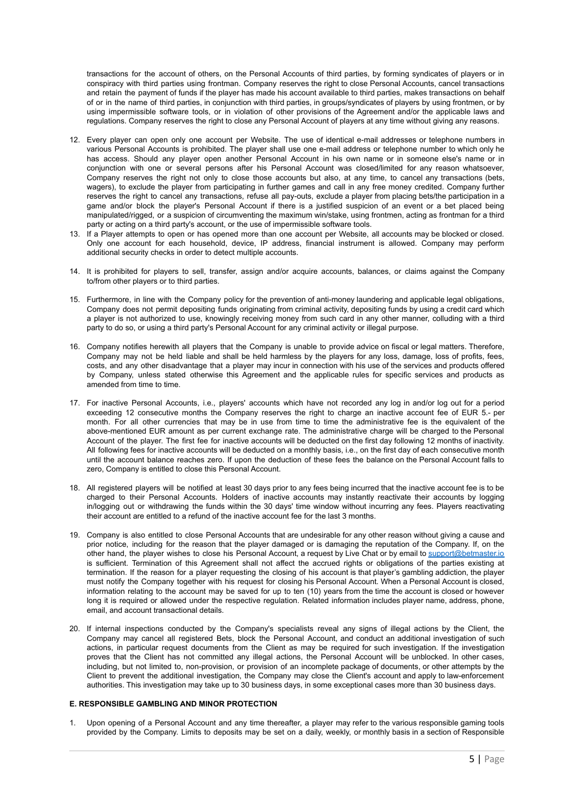transactions for the account of others, on the Personal Accounts of third parties, by forming syndicates of players or in conspiracy with third parties using frontman. Company reserves the right to close Personal Accounts, cancel transactions and retain the payment of funds if the player has made his account available to third parties, makes transactions on behalf of or in the name of third parties, in conjunction with third parties, in groups/syndicates of players by using frontmen, or by using impermissible software tools, or in violation of other provisions of the Agreement and/or the applicable laws and regulations. Company reserves the right to close any Personal Account of players at any time without giving any reasons.

- 12. Every player can open only one account per Website. The use of identical e-mail addresses or telephone numbers in various Personal Accounts is prohibited. The player shall use one e-mail address or telephone number to which only he has access. Should any player open another Personal Account in his own name or in someone else's name or in conjunction with one or several persons after his Personal Account was closed/limited for any reason whatsoever, Company reserves the right not only to close those accounts but also, at any time, to cancel any transactions (bets, wagers), to exclude the player from participating in further games and call in any free money credited. Company further reserves the right to cancel any transactions, refuse all pay-outs, exclude a player from placing bets/the participation in a game and/or block the player's Personal Account if there is a justified suspicion of an event or a bet placed being manipulated/rigged, or a suspicion of circumventing the maximum win/stake, using frontmen, acting as frontman for a third party or acting on a third party's account, or the use of impermissible software tools.
- 13. If a Player attempts to open or has opened more than one account per Website, all accounts may be blocked or closed. Only one account for each household, device, IP address, financial instrument is allowed. Company may perform additional security checks in order to detect multiple accounts.
- 14. It is prohibited for players to sell, transfer, assign and/or acquire accounts, balances, or claims against the Company to/from other players or to third parties.
- 15. Furthermore, in line with the Company policy for the prevention of anti-money laundering and applicable legal obligations, Company does not permit depositing funds originating from criminal activity, depositing funds by using a credit card which a player is not authorized to use, knowingly receiving money from such card in any other manner, colluding with a third party to do so, or using a third party's Personal Account for any criminal activity or illegal purpose.
- 16. Company notifies herewith all players that the Company is unable to provide advice on fiscal or legal matters. Therefore, Company may not be held liable and shall be held harmless by the players for any loss, damage, loss of profits, fees, costs, and any other disadvantage that a player may incur in connection with his use of the services and products offered by Company, unless stated otherwise this Agreement and the applicable rules for specific services and products as amended from time to time.
- 17. For inactive Personal Accounts, i.e., players' accounts which have not recorded any log in and/or log out for a period exceeding 12 consecutive months the Company reserves the right to charge an inactive account fee of EUR 5.- per month. For all other currencies that may be in use from time to time the administrative fee is the equivalent of the above-mentioned EUR amount as per current exchange rate. The administrative charge will be charged to the Personal Account of the player. The first fee for inactive accounts will be deducted on the first day following 12 months of inactivity. All following fees for inactive accounts will be deducted on a monthly basis, i.e., on the first day of each consecutive month until the account balance reaches zero. If upon the deduction of these fees the balance on the Personal Account falls to zero, Company is entitled to close this Personal Account.
- 18. All registered players will be notified at least 30 days prior to any fees being incurred that the inactive account fee is to be charged to their Personal Accounts. Holders of inactive accounts may instantly reactivate their accounts by logging in/logging out or withdrawing the funds within the 30 days' time window without incurring any fees. Players reactivating their account are entitled to a refund of the inactive account fee for the last 3 months.
- 19. Company is also entitled to close Personal Accounts that are undesirable for any other reason without giving a cause and prior notice, including for the reason that the player damaged or is damaging the reputation of the Company. If, on the other hand, the player wishes to close his Personal Account, a request by Live Chat or by email to [support@betmaster.io](mailto:support@betmaster.io) is sufficient. Termination of this Agreement shall not affect the accrued rights or obligations of the parties existing at termination. If the reason for a player requesting the closing of his account is that player's gambling addiction, the player must notify the Company together with his request for closing his Personal Account. When a Personal Account is closed, information relating to the account may be saved for up to ten (10) years from the time the account is closed or however long it is required or allowed under the respective regulation. Related information includes player name, address, phone, email, and account transactional details.
- 20. If internal inspections conducted by the Company's specialists reveal any signs of illegal actions by the Client, the Company may cancel all registered Bets, block the Personal Account, and conduct an additional investigation of such actions, in particular request documents from the Client as may be required for such investigation. If the investigation proves that the Client has not committed any illegal actions, the Personal Account will be unblocked. In other cases, including, but not limited to, non-provision, or provision of an incomplete package of documents, or other attempts by the Client to prevent the additional investigation, the Company may close the Client's account and apply to law-enforcement authorities. This investigation may take up to 30 business days, in some exceptional cases more than 30 business days.

## **E. RESPONSIBLE GAMBLING AND MINOR PROTECTION**

1. Upon opening of a Personal Account and any time thereafter, a player may refer to the various responsible gaming tools provided by the Company. Limits to deposits may be set on a daily, weekly, or monthly basis in a section of Responsible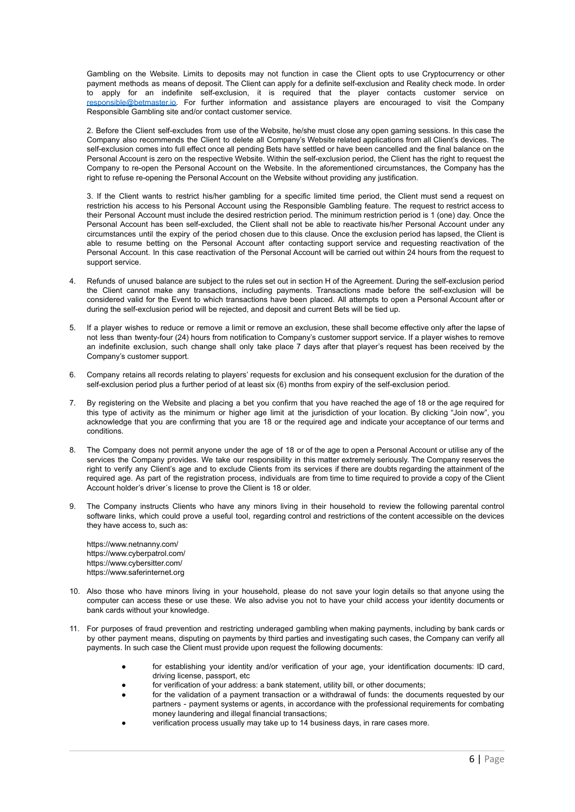Gambling on the Website. Limits to deposits may not function in case the Client opts to use Cryptocurrency or other payment methods as means of deposit. The Client can apply for a definite self-exclusion and Reality check mode. In order to apply for an indefinite self-exclusion, it is required that the player contacts customer service on [responsible@betmaster.io.](mailto:responsible@betmaster.io) For further information and assistance players are encouraged to visit the Company Responsible Gambling site and/or contact customer service.

2. Before the Client self-excludes from use of the Website, he/she must close any open gaming sessions. In this case the Company also recommends the Client to delete all Company's Website related applications from all Client's devices. The self-exclusion comes into full effect once all pending Bets have settled or have been cancelled and the final balance on the Personal Account is zero on the respective Website. Within the self-exclusion period, the Client has the right to request the Company to re-open the Personal Account on the Website. In the aforementioned circumstances, the Company has the right to refuse re-opening the Personal Account on the Website without providing any justification.

3. If the Client wants to restrict his/her gambling for a specific limited time period, the Client must send a request on restriction his access to his Personal Account using the Responsible Gambling feature. The request to restrict access to their Personal Account must include the desired restriction period. The minimum restriction period is 1 (one) day. Once the Personal Account has been self-excluded, the Client shall not be able to reactivate his/her Personal Account under any circumstances until the expiry of the period chosen due to this clause. Once the exclusion period has lapsed, the Client is able to resume betting on the Personal Account after contacting support service and requesting reactivation of the Personal Account. In this case reactivation of the Personal Account will be carried out within 24 hours from the request to support service.

- 4. Refunds of unused balance are subject to the rules set out in section H of the Agreement. During the self-exclusion period the Client cannot make any transactions, including payments. Transactions made before the self-exclusion will be considered valid for the Event to which transactions have been placed. All attempts to open a Personal Account after or during the self-exclusion period will be rejected, and deposit and current Bets will be tied up.
- 5. If a player wishes to reduce or remove a limit or remove an exclusion, these shall become effective only after the lapse of not less than twenty-four (24) hours from notification to Company's customer support service. If a player wishes to remove an indefinite exclusion, such change shall only take place 7 days after that player's request has been received by the Company's customer support.
- 6. Company retains all records relating to players' requests for exclusion and his consequent exclusion for the duration of the self-exclusion period plus a further period of at least six (6) months from expiry of the self-exclusion period.
- 7. By registering on the Website and placing a bet you confirm that you have reached the age of 18 or the age required for this type of activity as the minimum or higher age limit at the jurisdiction of your location. By clicking "Join now", you acknowledge that you are confirming that you are 18 or the required age and indicate your acceptance of our terms and conditions.
- 8. The Company does not permit anyone under the age of 18 or of the age to open a Personal Account or utilise any of the services the Company provides. We take our responsibility in this matter extremely seriously. The Company reserves the right to verify any Client's age and to exclude Clients from its services if there are doubts regarding the attainment of the required age. As part of the registration process, individuals are from time to time required to provide a copy of the Client Account holder's driver´s license to prove the Client is 18 or older.
- 9. The Company instructs Clients who have any minors living in their household to review the following parental control software links, which could prove a useful tool, regarding control and restrictions of the content accessible on the devices they have access to, such as:

https://www.netnanny.com/ https://www.cyberpatrol.com/ https://www.cybersitter.com/ https://www.saferinternet.org

- 10. Also those who have minors living in your household, please do not save your login details so that anyone using the computer can access these or use these. We also advise you not to have your child access your identity documents or bank cards without your knowledge.
- 11. For purposes of fraud prevention and restricting underaged gambling when making payments, including by bank cards or by other payment means, disputing on payments by third parties and investigating such cases, the Company can verify all payments. In such case the Client must provide upon request the following documents:
	- for establishing your identity and/or verification of your age, your identification documents: ID card, driving license, passport, etc
	- for verification of your address: a bank statement, utility bill, or other documents;
	- for the validation of a payment transaction or a withdrawal of funds: the documents requested by our partners - payment systems or agents, in accordance with the professional requirements for combating money laundering and illegal financial transactions;
	- verification process usually may take up to 14 business days, in rare cases more.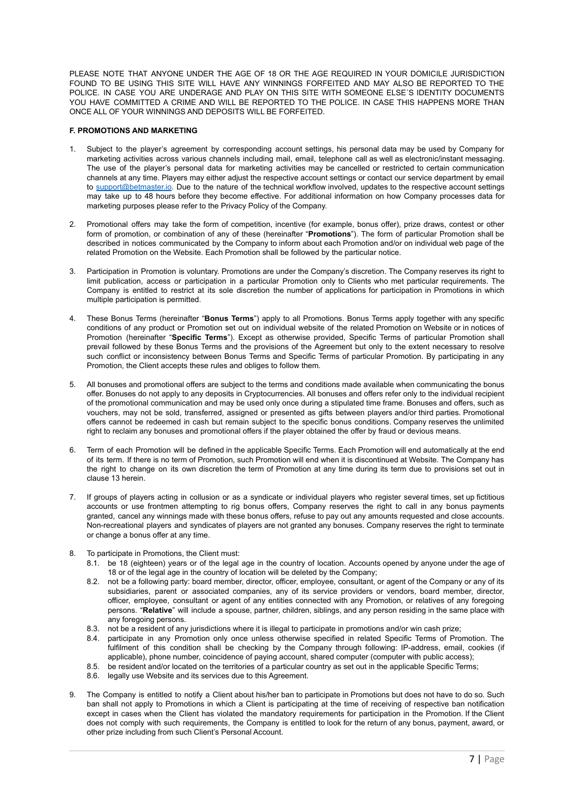PLEASE NOTE THAT ANYONE UNDER THE AGE OF 18 OR THE AGE REQUIRED IN YOUR DOMICILE JURISDICTION FOUND TO BE USING THIS SITE WILL HAVE ANY WINNINGS FORFEITED AND MAY ALSO BE REPORTED TO THE POLICE. IN CASE YOU ARE UNDERAGE AND PLAY ON THIS SITE WITH SOMEONE ELSE´S IDENTITY DOCUMENTS YOU HAVE COMMITTED A CRIME AND WILL BE REPORTED TO THE POLICE. IN CASE THIS HAPPENS MORE THAN ONCE ALL OF YOUR WINNINGS AND DEPOSITS WILL BE FORFEITED.

## **F. PROMOTIONS AND MARKETING**

- Subject to the player's agreement by corresponding account settings, his personal data may be used by Company for marketing activities across various channels including mail, email, telephone call as well as electronic/instant messaging. The use of the player's personal data for marketing activities may be cancelled or restricted to certain communication channels at any time. Players may either adjust the respective account settings or contact our service department by email to [support@betmaster.io.](mailto:support@betmaster.io) Due to the nature of the technical workflow involved, updates to the respective account settings may take up to 48 hours before they become effective. For additional information on how Company processes data for marketing purposes please refer to the Privacy Policy of the Company.
- 2. Promotional offers may take the form of competition, incentive (for example, bonus offer), prize draws, contest or other form of promotion, or combination of any of these (hereinafter "**Promotions**"). The form of particular Promotion shall be described in notices communicated by the Company to inform about each Promotion and/or on individual web page of the related Promotion on the Website. Each Promotion shall be followed by the particular notice.
- 3. Participation in Promotion is voluntary. Promotions are under the Company's discretion. The Company reserves its right to limit publication, access or participation in a particular Promotion only to Clients who met particular requirements. The Company is entitled to restrict at its sole discretion the number of applications for participation in Promotions in which multiple participation is permitted.
- 4. These Bonus Terms (hereinafter "**Bonus Terms**") apply to all Promotions. Bonus Terms apply together with any specific conditions of any product or Promotion set out on individual website of the related Promotion on Website or in notices of Promotion (hereinafter "**Specific Terms**"). Except as otherwise provided, Specific Terms of particular Promotion shall prevail followed by these Bonus Terms and the provisions of the Agreement but only to the extent necessary to resolve such conflict or inconsistency between Bonus Terms and Specific Terms of particular Promotion. By participating in any Promotion, the Client accepts these rules and obliges to follow them.
- 5. All bonuses and promotional offers are subject to the terms and conditions made available when communicating the bonus offer. Bonuses do not apply to any deposits in Cryptocurrencies. All bonuses and offers refer only to the individual recipient of the promotional communication and may be used only once during a stipulated time frame. Bonuses and offers, such as vouchers, may not be sold, transferred, assigned or presented as gifts between players and/or third parties. Promotional offers cannot be redeemed in cash but remain subject to the specific bonus conditions. Company reserves the unlimited right to reclaim any bonuses and promotional offers if the player obtained the offer by fraud or devious means.
- 6. Term of each Promotion will be defined in the applicable Specific Terms. Each Promotion will end automatically at the end of its term. If there is no term of Promotion, such Promotion will end when it is discontinued at Website. The Company has the right to change on its own discretion the term of Promotion at any time during its term due to provisions set out in clause 13 herein.
- 7. If groups of players acting in collusion or as a syndicate or individual players who register several times, set up fictitious accounts or use frontmen attempting to rig bonus offers, Company reserves the right to call in any bonus payments granted, cancel any winnings made with these bonus offers, refuse to pay out any amounts requested and close accounts. Non-recreational players and syndicates of players are not granted any bonuses. Company reserves the right to terminate or change a bonus offer at any time.
- 8. To participate in Promotions, the Client must:
	- 8.1. be 18 (eighteen) years or of the legal age in the country of location. Accounts opened by anyone under the age of 18 or of the legal age in the country of location will be deleted by the Company;
	- 8.2. not be a following party: board member, director, officer, employee, consultant, or agent of the Company or any of its subsidiaries, parent or associated companies, any of its service providers or vendors, board member, director, officer, employee, consultant or agent of any entities connected with any Promotion, or relatives of any foregoing persons. "**Relative**" will include a spouse, partner, children, siblings, and any person residing in the same place with any foregoing persons.
	- 8.3. not be a resident of any jurisdictions where it is illegal to participate in promotions and/or win cash prize;
	- 8.4. participate in any Promotion only once unless otherwise specified in related Specific Terms of Promotion. The fulfilment of this condition shall be checking by the Company through following: IP-address, email, cookies (if applicable), phone number, coincidence of paying account, shared computer (computer with public access);
	- 8.5. be resident and/or located on the territories of a particular country as set out in the applicable Specific Terms;
	- 8.6. legally use Website and its services due to this Agreement.
- 9. The Company is entitled to notify a Client about his/her ban to participate in Promotions but does not have to do so. Such ban shall not apply to Promotions in which a Client is participating at the time of receiving of respective ban notification except in cases when the Client has violated the mandatory requirements for participation in the Promotion. If the Client does not comply with such requirements, the Company is entitled to look for the return of any bonus, payment, award, or other prize including from such Client's Personal Account.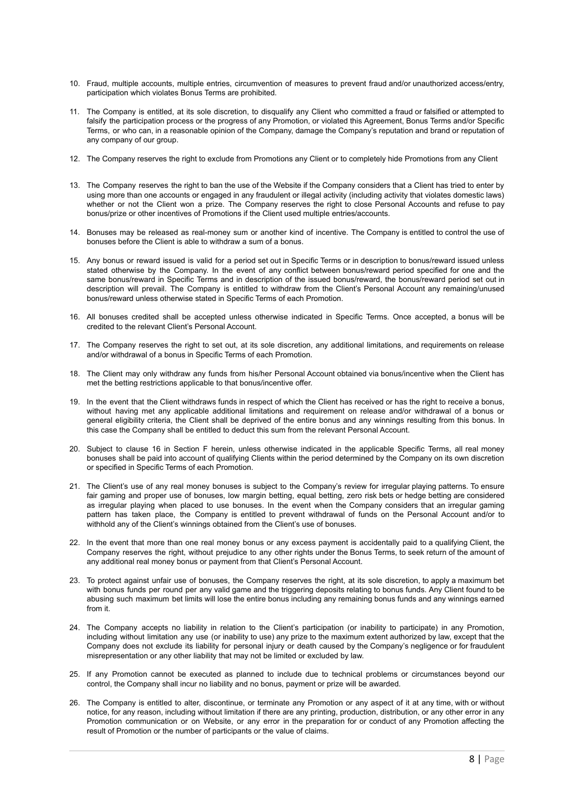- 10. Fraud, multiple accounts, multiple entries, circumvention of measures to prevent fraud and/or unauthorized access/entry, participation which violates Bonus Terms are prohibited.
- 11. The Company is entitled, at its sole discretion, to disqualify any Client who committed a fraud or falsified or attempted to falsify the participation process or the progress of any Promotion, or violated this Agreement, Bonus Terms and/or Specific Terms, or who can, in a reasonable opinion of the Company, damage the Company's reputation and brand or reputation of any company of our group.
- 12. The Company reserves the right to exclude from Promotions any Client or to completely hide Promotions from any Client
- 13. The Company reserves the right to ban the use of the Website if the Company considers that a Client has tried to enter by using more than one accounts or engaged in any fraudulent or illegal activity (including activity that violates domestic laws) whether or not the Client won a prize. The Company reserves the right to close Personal Accounts and refuse to pay bonus/prize or other incentives of Promotions if the Client used multiple entries/accounts.
- 14. Bonuses may be released as real-money sum or another kind of incentive. The Company is entitled to control the use of bonuses before the Client is able to withdraw a sum of a bonus.
- 15. Any bonus or reward issued is valid for a period set out in Specific Terms or in description to bonus/reward issued unless stated otherwise by the Company. In the event of any conflict between bonus/reward period specified for one and the same bonus/reward in Specific Terms and in description of the issued bonus/reward, the bonus/reward period set out in description will prevail. The Company is entitled to withdraw from the Client's Personal Account any remaining/unused bonus/reward unless otherwise stated in Specific Terms of each Promotion.
- 16. All bonuses credited shall be accepted unless otherwise indicated in Specific Terms. Once accepted, a bonus will be credited to the relevant Client's Personal Account.
- 17. The Company reserves the right to set out, at its sole discretion, any additional limitations, and requirements on release and/or withdrawal of a bonus in Specific Terms of each Promotion.
- 18. The Client may only withdraw any funds from his/her Personal Account obtained via bonus/incentive when the Client has met the betting restrictions applicable to that bonus/incentive offer.
- 19. In the event that the Client withdraws funds in respect of which the Client has received or has the right to receive a bonus, without having met any applicable additional limitations and requirement on release and/or withdrawal of a bonus or general eligibility criteria, the Client shall be deprived of the entire bonus and any winnings resulting from this bonus. In this case the Company shall be entitled to deduct this sum from the relevant Personal Account.
- 20. Subject to clause 16 in Section F herein, unless otherwise indicated in the applicable Specific Terms, all real money bonuses shall be paid into account of qualifying Clients within the period determined by the Company on its own discretion or specified in Specific Terms of each Promotion.
- 21. The Client's use of any real money bonuses is subject to the Company's review for irregular playing patterns. To ensure fair gaming and proper use of bonuses, low margin betting, equal betting, zero risk bets or hedge betting are considered as irregular playing when placed to use bonuses. In the event when the Company considers that an irregular gaming pattern has taken place, the Company is entitled to prevent withdrawal of funds on the Personal Account and/or to withhold any of the Client's winnings obtained from the Client's use of bonuses.
- 22. In the event that more than one real money bonus or any excess payment is accidentally paid to a qualifying Client, the Company reserves the right, without prejudice to any other rights under the Bonus Terms, to seek return of the amount of any additional real money bonus or payment from that Client's Personal Account.
- 23. To protect against unfair use of bonuses, the Company reserves the right, at its sole discretion, to apply a maximum bet with bonus funds per round per any valid game and the triggering deposits relating to bonus funds. Any Client found to be abusing such maximum bet limits will lose the entire bonus including any remaining bonus funds and any winnings earned from it.
- 24. The Company accepts no liability in relation to the Client's participation (or inability to participate) in any Promotion, including without limitation any use (or inability to use) any prize to the maximum extent authorized by law, except that the Company does not exclude its liability for personal injury or death caused by the Company's negligence or for fraudulent misrepresentation or any other liability that may not be limited or excluded by law.
- 25. If any Promotion cannot be executed as planned to include due to technical problems or circumstances beyond our control, the Company shall incur no liability and no bonus, payment or prize will be awarded.
- 26. The Company is entitled to alter, discontinue, or terminate any Promotion or any aspect of it at any time, with or without notice, for any reason, including without limitation if there are any printing, production, distribution, or any other error in any Promotion communication or on Website, or any error in the preparation for or conduct of any Promotion affecting the result of Promotion or the number of participants or the value of claims.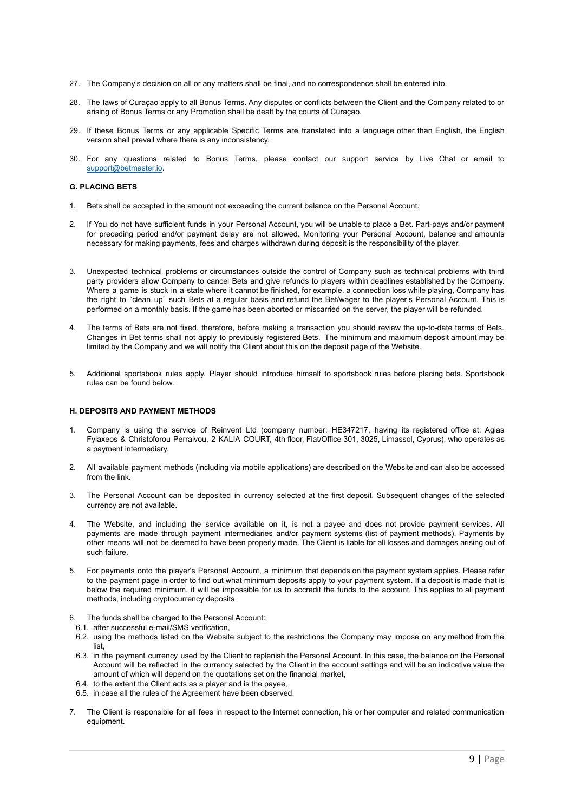- 27. The Company's decision on all or any matters shall be final, and no correspondence shall be entered into.
- 28. The laws of Curaçao apply to all Bonus Terms. Any disputes or conflicts between the Client and the Company related to or arising of Bonus Terms or any Promotion shall be dealt by the courts of Curaçao.
- 29. If these Bonus Terms or any applicable Specific Terms are translated into a language other than English, the English version shall prevail where there is any inconsistency.
- 30. For any questions related to Bonus Terms, please contact our support service by Live Chat or email to [support@betmaster.io](mailto:support@betmaster.io).

## **G. PLACING BETS**

- 1. Bets shall be accepted in the amount not exceeding the current balance on the Personal Account.
- 2. If You do not have sufficient funds in your Personal Account, you will be unable to place a Bet. Part-pays and/or payment for preceding period and/or payment delay are not allowed. Monitoring your Personal Account, balance and amounts necessary for making payments, fees and charges withdrawn during deposit is the responsibility of the player.
- 3. Unexpected technical problems or circumstances outside the control of Company such as technical problems with third party providers allow Company to cancel Bets and give refunds to players within deadlines established by the Company. Where a game is stuck in a state where it cannot be finished, for example, a connection loss while playing, Company has the right to "clean up" such Bets at a regular basis and refund the Bet/wager to the player's Personal Account. This is performed on a monthly basis. If the game has been aborted or miscarried on the server, the player will be refunded.
- 4. The terms of Bets are not fixed, therefore, before making a transaction you should review the up-to-date terms of Bets. Changes in Bet terms shall not apply to previously registered Bets. The minimum and maximum deposit amount may be limited by the Company and we will notify the Client about this on the deposit page of the Website.
- 5. Additional sportsbook rules apply. Player should introduce himself to sportsbook rules before placing bets. Sportsbook rules can be found below.

## **H. DEPOSITS AND PAYMENT METHODS**

- 1. Company is using the service of Reinvent Ltd (company number: HE347217, having its registered office at: Agias Fylaxeos & Christoforou Perraivou, 2 KALIA COURT, 4th floor, Flat/Office 301, 3025, Limassol, Cyprus), who operates as a payment intermediary.
- 2. All available payment methods (including via mobile applications) are described on the Website and can also be accessed from the link.
- 3. The Personal Account can be deposited in currency selected at the first deposit. Subsequent changes of the selected currency are not available.
- 4. The Website, and including the service available on it, is not a payee and does not provide payment services. All payments are made through payment intermediaries and/or payment systems (list of payment methods). Payments by other means will not be deemed to have been properly made. The Client is liable for all losses and damages arising out of such failure.
- 5. For payments onto the player's Personal Account, a minimum that depends on the payment system applies. Please refer to the payment page in order to find out what minimum deposits apply to your payment system. If a deposit is made that is below the required minimum, it will be impossible for us to accredit the funds to the account. This applies to all payment methods, including cryptocurrency deposits
- 6. The funds shall be charged to the Personal Account:
- 6.1. after successful e-mail/SMS verification,
- 6.2. using the methods listed on the Website subject to the restrictions the Company may impose on any method from the list,
- 6.3. in the payment currency used by the Client to replenish the Personal Account. In this case, the balance on the Personal Account will be reflected in the currency selected by the Client in the account settings and will be an indicative value the amount of which will depend on the quotations set on the financial market,
- 6.4. to the extent the Client acts as a player and is the payee,
- 6.5. in case all the rules of the Agreement have been observed.
- 7. The Client is responsible for all fees in respect to the Internet connection, his or her computer and related communication equipment.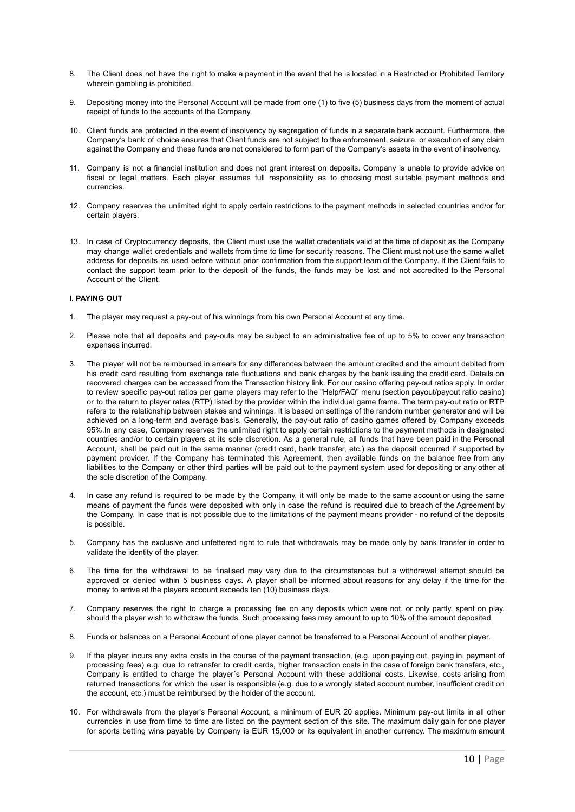- 8. The Client does not have the right to make a payment in the event that he is located in a Restricted or Prohibited Territory wherein gambling is prohibited.
- 9. Depositing money into the Personal Account will be made from one (1) to five (5) business days from the moment of actual receipt of funds to the accounts of the Company.
- 10. Client funds are protected in the event of insolvency by segregation of funds in a separate bank account. Furthermore, the Company's bank of choice ensures that Client funds are not subject to the enforcement, seizure, or execution of any claim against the Company and these funds are not considered to form part of the Company's assets in the event of insolvency.
- 11. Company is not a financial institution and does not grant interest on deposits. Company is unable to provide advice on fiscal or legal matters. Each player assumes full responsibility as to choosing most suitable payment methods and currencies.
- 12. Company reserves the unlimited right to apply certain restrictions to the payment methods in selected countries and/or for certain players.
- 13. In case of Cryptocurrency deposits, the Client must use the wallet credentials valid at the time of deposit as the Company may change wallet credentials and wallets from time to time for security reasons. The Client must not use the same wallet address for deposits as used before without prior confirmation from the support team of the Company. If the Client fails to contact the support team prior to the deposit of the funds, the funds may be lost and not accredited to the Personal Account of the Client.

## **I. PAYING OUT**

- 1. The player may request a pay-out of his winnings from his own Personal Account at any time.
- 2. Please note that all deposits and pay-outs may be subject to an administrative fee of up to 5% to cover any transaction expenses incurred.
- 3. The player will not be reimbursed in arrears for any differences between the amount credited and the amount debited from his credit card resulting from exchange rate fluctuations and bank charges by the bank issuing the credit card. Details on recovered charges can be accessed from the Transaction history link. For our casino offering pay-out ratios apply. In order to review specific pay-out ratios per game players may refer to the "Help/FAQ" menu (section payout/payout ratio casino) or to the return to player rates (RTP) listed by the provider within the individual game frame. The term pay-out ratio or RTP refers to the relationship between stakes and winnings. It is based on settings of the random number generator and will be achieved on a long-term and average basis. Generally, the pay-out ratio of casino games offered by Company exceeds 95%.In any case, Company reserves the unlimited right to apply certain restrictions to the payment methods in designated countries and/or to certain players at its sole discretion. As a general rule, all funds that have been paid in the Personal Account, shall be paid out in the same manner (credit card, bank transfer, etc.) as the deposit occurred if supported by payment provider. If the Company has terminated this Agreement, then available funds on the balance free from any liabilities to the Company or other third parties will be paid out to the payment system used for depositing or any other at the sole discretion of the Company.
- In case any refund is required to be made by the Company, it will only be made to the same account or using the same means of payment the funds were deposited with only in case the refund is required due to breach of the Agreement by the Company. In case that is not possible due to the limitations of the payment means provider - no refund of the deposits is possible.
- 5. Company has the exclusive and unfettered right to rule that withdrawals may be made only by bank transfer in order to validate the identity of the player.
- 6. The time for the withdrawal to be finalised may vary due to the circumstances but a withdrawal attempt should be approved or denied within 5 business days. A player shall be informed about reasons for any delay if the time for the money to arrive at the players account exceeds ten (10) business days.
- 7. Company reserves the right to charge a processing fee on any deposits which were not, or only partly, spent on play, should the player wish to withdraw the funds. Such processing fees may amount to up to 10% of the amount deposited.
- 8. Funds or balances on a Personal Account of one player cannot be transferred to a Personal Account of another player.
- 9. If the player incurs any extra costs in the course of the payment transaction, (e.g. upon paying out, paying in, payment of processing fees) e.g. due to retransfer to credit cards, higher transaction costs in the case of foreign bank transfers, etc., Company is entitled to charge the player´s Personal Account with these additional costs. Likewise, costs arising from returned transactions for which the user is responsible (e.g. due to a wrongly stated account number, insufficient credit on the account, etc.) must be reimbursed by the holder of the account.
- 10. For withdrawals from the player's Personal Account, a minimum of EUR 20 applies. Minimum pay-out limits in all other currencies in use from time to time are listed on the payment section of this site. The maximum daily gain for one player for sports betting wins payable by Company is EUR 15,000 or its equivalent in another currency. The maximum amount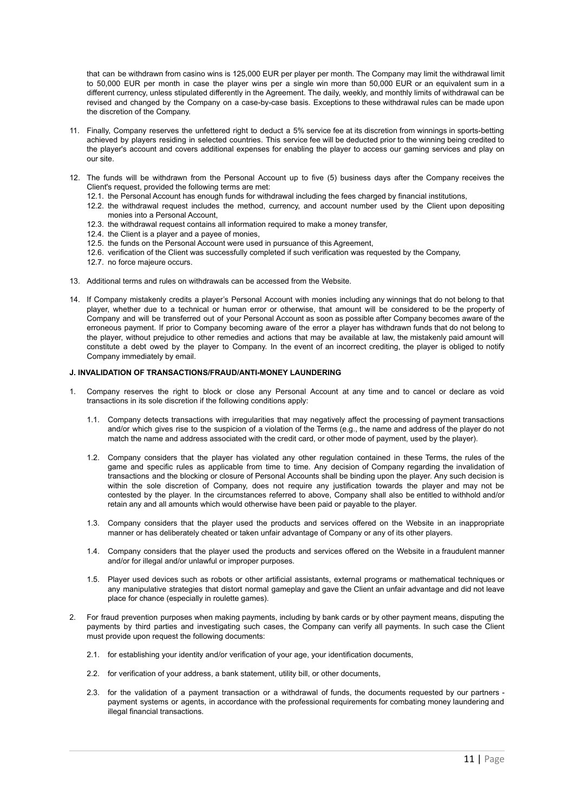that can be withdrawn from casino wins is 125,000 EUR per player per month. The Company may limit the withdrawal limit to 50,000 EUR per month in case the player wins per a single win more than 50,000 EUR or an equivalent sum in a different currency, unless stipulated differently in the Agreement. The daily, weekly, and monthly limits of withdrawal can be revised and changed by the Company on a case-by-case basis. Exceptions to these withdrawal rules can be made upon the discretion of the Company.

- 11. Finally, Company reserves the unfettered right to deduct a 5% service fee at its discretion from winnings in sports-betting achieved by players residing in selected countries. This service fee will be deducted prior to the winning being credited to the player's account and covers additional expenses for enabling the player to access our gaming services and play on our site.
- 12. The funds will be withdrawn from the Personal Account up to five (5) business days after the Company receives the Client's request, provided the following terms are met:
	- 12.1. the Personal Account has enough funds for withdrawal including the fees charged by financial institutions,
	- 12.2. the withdrawal request includes the method, currency, and account number used by the Client upon depositing monies into a Personal Account
	- 12.3. the withdrawal request contains all information required to make a money transfer,
	- 12.4. the Client is a player and a payee of monies,
	- 12.5. the funds on the Personal Account were used in pursuance of this Agreement,
	- 12.6. verification of the Client was successfully completed if such verification was requested by the Company,
	- 12.7. no force majeure occurs.
- 13. Additional terms and rules on withdrawals can be accessed from the Website.
- 14. If Company mistakenly credits a player's Personal Account with monies including any winnings that do not belong to that player, whether due to a technical or human error or otherwise, that amount will be considered to be the property of Company and will be transferred out of your Personal Account as soon as possible after Company becomes aware of the erroneous payment. If prior to Company becoming aware of the error a player has withdrawn funds that do not belong to the player, without prejudice to other remedies and actions that may be available at law, the mistakenly paid amount will constitute a debt owed by the player to Company. In the event of an incorrect crediting, the player is obliged to notify Company immediately by email.

#### **J. INVALIDATION OF TRANSACTIONS/FRAUD/ANTI-MONEY LAUNDERING**

- 1. Company reserves the right to block or close any Personal Account at any time and to cancel or declare as void transactions in its sole discretion if the following conditions apply:
	- 1.1. Company detects transactions with irregularities that may negatively affect the processing of payment transactions and/or which gives rise to the suspicion of a violation of the Terms (e.g., the name and address of the player do not match the name and address associated with the credit card, or other mode of payment, used by the player).
	- 1.2. Company considers that the player has violated any other regulation contained in these Terms, the rules of the game and specific rules as applicable from time to time. Any decision of Company regarding the invalidation of transactions and the blocking or closure of Personal Accounts shall be binding upon the player. Any such decision is within the sole discretion of Company, does not require any justification towards the player and may not be contested by the player. In the circumstances referred to above, Company shall also be entitled to withhold and/or retain any and all amounts which would otherwise have been paid or payable to the player.
	- 1.3. Company considers that the player used the products and services offered on [the](http://www.betmaster.com) Website in an inappropriate manner or has deliberately cheated or taken unfair advantage of Company or any of its other players.
	- 1.4. Company considers that the player used the products and services offered on the Website in a fraudulent manner and/or for illegal and/or unlawful or improper purposes.
	- 1.5. Player used devices such as robots or other artificial assistants, external programs or mathematical techniques or any manipulative strategies that distort normal gameplay and gave the Client an unfair advantage and did not leave place for chance (especially in roulette games).
- 2. For fraud prevention purposes when making payments, including by bank cards or by other payment means, disputing the payments by third parties and investigating such cases, the Company can verify all payments. In such case the Client must provide upon request the following documents:
	- 2.1. for establishing your identity and/or verification of your age, your identification documents,
	- 2.2. for verification of your address, a bank statement, utility bill, or other documents,
	- 2.3. for the validation of a payment transaction or a withdrawal of funds, the documents requested by our partners payment systems or agents, in accordance with the professional requirements for combating money laundering and illegal financial transactions.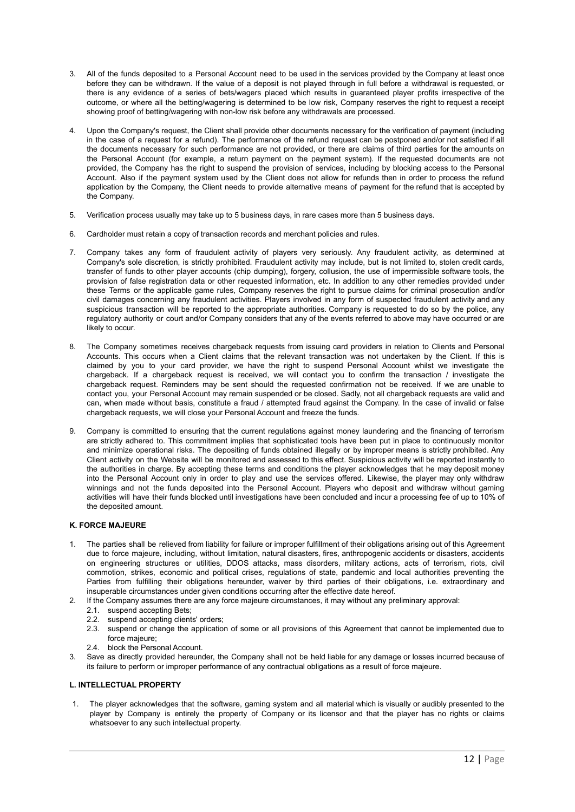- 3. All of the funds deposited to a Personal Account need to be used in the services provided by the Company at least once before they can be withdrawn. If the value of a deposit is not played through in full before a withdrawal is requested, or there is any evidence of a series of bets/wagers placed which results in guaranteed player profits irrespective of the outcome, or where all the betting/wagering is determined to be low risk, Company reserves the right to request a receipt showing proof of betting/wagering with non-low risk before any withdrawals are processed.
- 4. Upon the Company's request, the Client shall provide other documents necessary for the verification of payment (including in the case of a request for a refund). The performance of the refund request can be postponed and/or not satisfied if all the documents necessary for such performance are not provided, or there are claims of third parties for the amounts on the Personal Account (for example, a return payment on the payment system). If the requested documents are not provided, the Company has the right to suspend the provision of services, including by blocking access to the Personal Account. Also if the payment system used by the Client does not allow for refunds then in order to process the refund application by the Company, the Client needs to provide alternative means of payment for the refund that is accepted by the Company.
- 5. Verification process usually may take up to 5 business days, in rare cases more than 5 business days.
- 6. Cardholder must retain a copy of transaction records and merchant policies and rules.
- 7. Company takes any form of fraudulent activity of players very seriously. Any fraudulent activity, as determined at Company's sole discretion, is strictly prohibited. Fraudulent activity may include, but is not limited to, stolen credit cards, transfer of funds to other player accounts (chip dumping), forgery, collusion, the use of impermissible software tools, the provision of false registration data or other requested information, etc. In addition to any other remedies provided under these Terms or the applicable game rules, Company reserves the right to pursue claims for criminal prosecution and/or civil damages concerning any fraudulent activities. Players involved in any form of suspected fraudulent activity and any suspicious transaction will be reported to the appropriate authorities. Company is requested to do so by the police, any regulatory authority or court and/or Company considers that any of the events referred to above may have occurred or are likely to occur.
- 8. The Company sometimes receives chargeback requests from issuing card providers in relation to Clients and Personal Accounts. This occurs when a Client claims that the relevant transaction was not undertaken by the Client. If this is claimed by you to your card provider, we have the right to suspend Personal Account whilst we investigate the chargeback. If a chargeback request is received, we will contact you to confirm the transaction / investigate the chargeback request. Reminders may be sent should the requested confirmation not be received. If we are unable to contact you, your Personal Account may remain suspended or be closed. Sadly, not all chargeback requests are valid and can, when made without basis, constitute a fraud / attempted fraud against the Company. In the case of invalid or false chargeback requests, we will close your Personal Account and freeze the funds.
- 9. Company is committed to ensuring that the current regulations against money laundering and the financing of terrorism are strictly adhered to. This commitment implies that sophisticated tools have been put in place to continuously monitor and minimize operational risks. The depositing of funds obtained illegally or by improper means is strictly prohibited. Any Client activity on the Website will be monitored and assessed to this effect. Suspicious activity will be reported instantly to the authorities in charge. By accepting these terms and conditions the player acknowledges that he may deposit money into the Personal Account only in order to play and use the services offered. Likewise, the player may only withdraw winnings and not the funds deposited into the Personal Account. Players who deposit and withdraw without gaming activities will have their funds blocked until investigations have been concluded and incur a processing fee of up to 10% of the deposited amount.

#### **K. FORCE MAJEURE**

- The parties shall be relieved from liability for failure or improper fulfillment of their obligations arising out of this Agreement due to force majeure, including, without limitation, natural disasters, fires, anthropogenic accidents or disasters, accidents on engineering structures or utilities, DDOS attacks, mass disorders, military actions, acts of terrorism, riots, civil commotion, strikes, economic and political crises, regulations of state, pandemic and local authorities preventing the Parties from fulfilling their obligations hereunder, waiver by third parties of their obligations, i.e. extraordinary and insuperable circumstances under given conditions occurring after the effective date hereof.
- 2. If the Company assumes there are any force majeure circumstances, it may without any preliminary approval:
	- 2.1. suspend accepting Bets:
	- 2.2. suspend accepting clients' orders;
	- 2.3. suspend or change the application of some or all provisions of this Agreement that cannot be implemented due to force majeure;
	- 2.4. block the Personal Account.
- 3. Save as directly provided hereunder, the Company shall not be held liable for any damage or losses incurred because of its failure to perform or improper performance of any contractual obligations as a result of force majeure.

#### **L. INTELLECTUAL PROPERTY**

1. The player acknowledges that the software, gaming system and all material which is visually or audibly presented to the player by Company is entirely the property of Company or its licensor and that the player has no rights or claims whatsoever to any such intellectual property.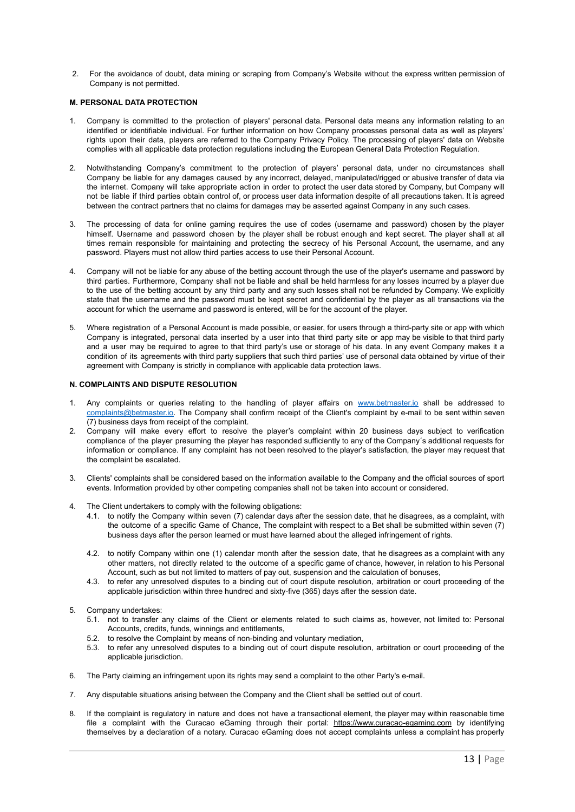2. For the avoidance of doubt, data mining or scraping from Company's Website without the express written permission of Company is not permitted.

#### **M. PERSONAL DATA PROTECTION**

- 1. Company is committed to the protection of players' personal data. Personal data means any information relating to an identified or identifiable individual. For further information on how Company processes personal data as well as players' rights upon their data, players are referred to the Company Privacy Policy. The processing of players' data on Website complies with all applicable data protection regulations including the European General Data Protection Regulation.
- 2. Notwithstanding Company's commitment to the protection of players' personal data, under no circumstances shall Company be liable for any damages caused by any incorrect, delayed, manipulated/rigged or abusive transfer of data via the internet. Company will take appropriate action in order to protect the user data stored by Company, but Company will not be liable if third parties obtain control of, or process user data information despite of all precautions taken. It is agreed between the contract partners that no claims for damages may be asserted against Company in any such cases.
- 3. The processing of data for online gaming requires the use of codes (username and password) chosen by the player himself. Username and password chosen by the player shall be robust enough and kept secret. The player shall at all times remain responsible for maintaining and protecting the secrecy of his Personal Account, the username, and any password. Players must not allow third parties access to use their Personal Account.
- 4. Company will not be liable for any abuse of the betting account through the use of the player's username and password by third parties. Furthermore, Company shall not be liable and shall be held harmless for any losses incurred by a player due to the use of the betting account by any third party and any such losses shall not be refunded by Company. We explicitly state that the username and the password must be kept secret and confidential by the player as all transactions via the account for which the username and password is entered, will be for the account of the player.
- 5. Where registration of a Personal Account is made possible, or easier, for users through a third-party site or app with which Company is integrated, personal data inserted by a user into that third party site or app may be visible to that third party and a user may be required to agree to that third party's use or storage of his data. In any event Company makes it a condition of its agreements with third party suppliers that such third parties' use of personal data obtained by virtue of their agreement with Company is strictly in compliance with applicable data protection laws.

#### **N. COMPLAINTS AND DISPUTE RESOLUTION**

- 1. Any complaints or queries relating to the handling of player affairs on [www.betmaster.io](http://www.betmaster.io) shall be addressed to complaints@betmaster.jo. The Company shall confirm receipt of the Client's complaint by e-mail to be sent within seven (7) business days from receipt of the complaint.
- 2. Company will make every effort to resolve the player's complaint within 20 business days subject to verification compliance of the player presuming the player has responded sufficiently to any of the Company´s additional requests for information or compliance. If any complaint has not been resolved to the player's satisfaction, the player may request that the complaint be escalated.
- 3. Clients' complaints shall be considered based on the information available to the Company and the official sources of sport events. Information provided by other competing companies shall not be taken into account or considered.
- 4. The Client undertakers to comply with the following obligations:
	- 4.1. to notify the Company within seven (7) calendar days after the session date, that he disagrees, as а complaint, with the outcome of а specific Game of Chance, The complaint with respect to a Bet shall be submitted within seven (7) business days after the person learned or must have learned about the alleged infringement of rights.
	- 4.2. to notify Company within one (1) calendar month after the session date, that he disagrees as a complaint with any other matters, not directly related to the outcome of а specific game of chance, however, in relation to his Personal Account, such as but not limited to matters of pay out, suspension and the calculation of bonuses,
	- 4.3. to refer any unresolved disputes to a binding out of court dispute resolution, arbitration or court proceeding of the applicable jurisdiction within three hundred and sixty-five (365) days after the session date.
- 5. Company undertakes:
	- 5.1. not to transfer any claims of the Client or elements related to such claims as, however, not limited to: Personal Accounts, credits, funds, winnings and entitlements,
	- 5.2. to resolve the Complaint by means of non-binding and voluntary mediation,
	- 5.3. to refer any unresolved disputes to a binding out of court dispute resolution, arbitration or court proceeding of the applicable jurisdiction.
- 6. The Party claiming an infringement upon its rights may send a complaint to the other Party's e-mail.
- 7. Any disputable situations arising between the Company and the Client shall be settled out of court.
- 8. If the complaint is regulatory in nature and does not have a transactional element, the player may within reasonable time file a complaint with the Curacao eGaming through their portal: <https://www.curacao-egaming.com> by identifying themselves by a declaration of a notary. Curacao eGaming does not accept complaints unless a complaint has properly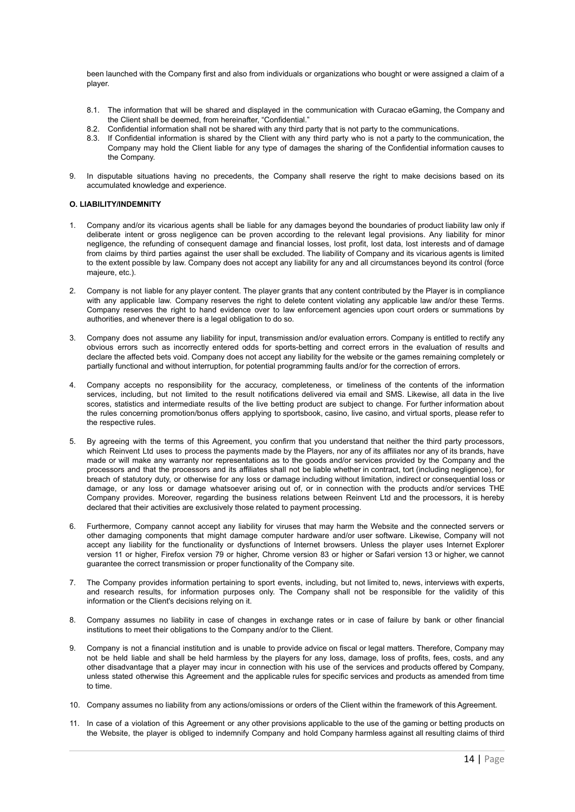been launched with the Company first and also from individuals or organizations who bought or were assigned a claim of a player.

- 8.1. The information that will be shared and displayed in the communication with Curacao eGaming, the Company and the Client shall be deemed, from hereinafter, "Confidential."
- 8.2. Confidential information shall not be shared with any third party that is not party to the communications.
- 8.3. If Confidential information is shared by the Client with any third party who is not a party to the communication, the Company may hold the Client liable for any type of damages the sharing of the Confidential information causes to the Company.
- 9. In disputable situations having no precedents, the Company shall reserve the right to make decisions based on its accumulated knowledge and experience.

#### **O. LIABILITY/INDEMNITY**

- 1. Company and/or its vicarious agents shall be liable for any damages beyond the boundaries of product liability law only if deliberate intent or gross negligence can be proven according to the relevant legal provisions. Any liability for minor negligence, the refunding of consequent damage and financial losses, lost profit, lost data, lost interests and of damage from claims by third parties against the user shall be excluded. The liability of Company and its vicarious agents is limited to the extent possible by law. Company does not accept any liability for any and all circumstances beyond its control (force majeure, etc.)
- 2. Company is not liable for any player content. The player grants that any content contributed by the Player is in compliance with any applicable law. Company reserves the right to delete content violating any applicable law and/or these Terms. Company reserves the right to hand evidence over to law enforcement agencies upon court orders or summations by authorities, and whenever there is a legal obligation to do so.
- 3. Company does not assume any liability for input, transmission and/or evaluation errors. Company is entitled to rectify any obvious errors such as incorrectly entered odds for sports-betting and correct errors in the evaluation of results and declare the affected bets void. Company does not accept any liability for the website or the games remaining completely or partially functional and without interruption, for potential programming faults and/or for the correction of errors.
- 4. Company accepts no responsibility for the accuracy, completeness, or timeliness of the contents of the information services, including, but not limited to the result notifications delivered via email and SMS. Likewise, all data in the live scores, statistics and intermediate results of the live betting product are subject to change. For further information about the rules concerning promotion/bonus offers applying to sportsbook, casino, live casino, and virtual sports, please refer to the respective rules.
- 5. By agreeing with the terms of this Agreement, you confirm that you understand that neither the third party processors, which Reinvent Ltd uses to process the payments made by the Players, nor any of its affiliates nor any of its brands, have made or will make any warranty nor representations as to the goods and/or services provided by the Company and the processors and that the processors and its affiliates shall not be liable whether in contract, tort (including negligence), for breach of statutory duty, or otherwise for any loss or damage including without limitation, indirect or consequential loss or damage, or any loss or damage whatsoever arising out of, or in connection with the products and/or services THE Company provides. Moreover, regarding the business relations between Reinvent Ltd and the processors, it is hereby declared that their activities are exclusively those related to payment processing.
- 6. Furthermore, Company cannot accept any liability for viruses that may harm the Website and the connected servers or other damaging components that might damage computer hardware and/or user software. Likewise, Company will not accept any liability for the functionality or dysfunctions of Internet browsers. Unless the player uses Internet Explorer version 11 or higher, Firefox version 79 or higher, Chrome version 83 or higher or Safari version 13 or higher, we cannot guarantee the correct transmission or proper functionality of the Company site.
- 7. The Company provides information pertaining to sport events, including, but not limited to, news, interviews with experts, and research results, for information purposes only. The Company shall not be responsible for the validity of this information or the Client's decisions relying on it.
- 8. Company assumes no liability in case of changes in exchange rates or in case of failure by bank or other financial institutions to meet their obligations to the Company and/or to the Client.
- 9. Company is not a financial institution and is unable to provide advice on fiscal or legal matters. Therefore, Company may not be held liable and shall be held harmless by the players for any loss, damage, loss of profits, fees, costs, and any other disadvantage that a player may incur in connection with his use of the services and products offered by Company, unless stated otherwise this Agreement and the applicable rules for specific services and products as amended from time to time.
- 10. Company assumes no liability from any actions/omissions or orders of the Client within the framework of this Agreement.
- 11. In case of a violation of this Agreement or any other provisions applicable to the use of the gaming or betting products on the Website, the player is obliged to indemnify Company and hold Company harmless against all resulting claims of third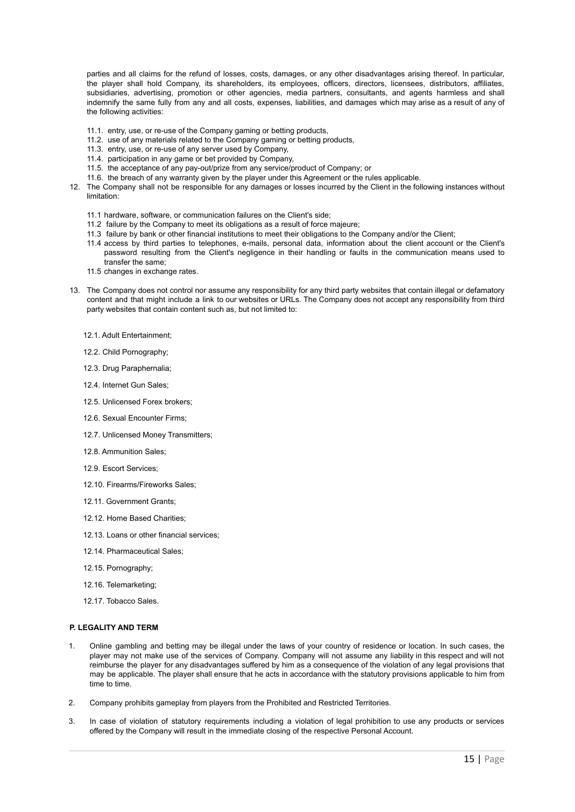parties and all claims for the refund of losses, costs, damages, or any other disadvantages arising thereof. In particular, the player shall hold Company, its shareholders, its employees, officers, directors, licensees, distributors, affiliates, subsidiaries, advertising, promotion or other agencies, media partners, consultants, and agents harmless and shall indemnify the same fully from any and all costs, expenses, liabilities, and damages which may arise as a result of any of the following activities:

- 11.1. entry, use, or re-use of the Company gaming or betting products,
- 11.2. use of any materials related to the Company gaming or betting products,
- 11.3. entry, use, or re-use of any server used by Company,
- 11.4. participation in any game or bet provided by Company,
- 11.5. the acceptance of any pay-out/prize from any service/product of Company; or
- 11.6. the breach of any warranty given by the player under this Agreement or the rules applicable.
- 12. The Company shall not be responsible for any damages or losses incurred by the Client in the following instances without limitation:
	- 11.1 hardware, software, or communication failures on the Client's side;
	- 11.2 failure by the Company to meet its obligations as a result of force majeure;
	- 11.3 failure by bank or other financial institutions to meet their obligations to the Company and/or the Client;
	- 11.4 access by third parties to telephones, e-mails, personal data, information about the client account or the Client's password resulting from the Client's negligence in their handling or faults in the communication means used to transfer the same;
	- 11.5 changes in exchange rates
- 13. The Company does not control nor assume any responsibility for any third party websites that contain illegal or defamatory content and that might include a link to our websites or URLs. The Company does not accept any responsibility from third party websites that contain content such as, but not limited to:
	- 12.1. Adult Entertainment;
	- 12.2. Child Pornography;
	- 12.3. Drug Paraphernalia;
	- 12.4. Internet Gun Sales;
	- 12.5. Unlicensed Forex brokers;
	- 12.6. Sexual Encounter Firms;
	- 12.7. Unlicensed Money Transmitters;
	- 12.8. Ammunition Sales;
	- 12.9. Escort Services;
	- 12.10. Firearms/Fireworks Sales;
	- 12.11. Government Grants;
	- 12.12. Home Based Charities:
	- 12.13. Loans or other financial services;
	- 12.14. Pharmaceutical Sales;
	- 12.15. Pornography;
	- 12.16. Telemarketing;
	- 12.17. Tobacco Sales.

## **P. LEGALITY AND TERM**

- 1. Online gambling and betting may be illegal under the laws of your country of residence or location. In such cases, the player may not make use of the services of Company. Company will not assume any liability in this respect and will not reimburse the player for any disadvantages suffered by him as a consequence of the violation of any legal provisions that may be applicable. The player shall ensure that he acts in accordance with the statutory provisions applicable to him from time to time.
- 2. Company prohibits gameplay from players from the Prohibited and Restricted Territories.
- 3. In case of violation of statutory requirements including a violation of legal prohibition to use any products or services offered by the Company will result in the immediate closing of the respective Personal Account.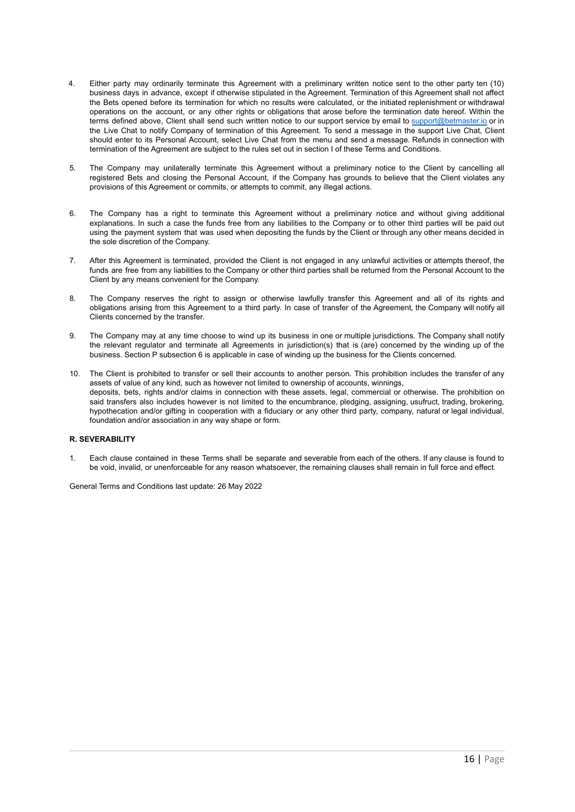- 4. Either party may ordinarily terminate this Agreement with a preliminary written notice sent to the other party ten (10) business days in advance, except if otherwise stipulated in the Agreement. Termination of this Agreement shall not affect the Bets opened before its termination for which no results were calculated, or the initiated replenishment or withdrawal operations on the account, or any other rights or obligations that arose before the termination date hereof. Within the terms defined above, Client shall send such written notice to our support service by email to [support@betmaster.io](mailto:support@betmaster.io) or in the Live Chat to notify Company of termination of this Agreement. To send a message in the support Live Chat, Client should enter to its Personal Account, select Live Chat from the menu and send a message. Refunds in connection with termination of the Agreement are subject to the rules set out in section I of these Terms and Conditions.
- 5. The Company may unilaterally terminate this Agreement without a preliminary notice to the Client by cancelling all registered Bets and closing the Personal Account, if the Company has grounds to believe that the Client violates any provisions of this Agreement or commits, or attempts to commit, any illegal actions.
- 6. The Company has a right to terminate this Agreement without a preliminary notice and without giving additional explanations. In such a case the funds free from any liabilities to the Company or to other third parties will be paid out using the payment system that was used when depositing the funds by the Client or through any other means decided in the sole discretion of the Company.
- 7. After this Agreement is terminated, provided the Client is not engaged in any unlawful activities or attempts thereof, the funds are free from any liabilities to the Company or other third parties shall be returned from the Personal Account to the Client by any means convenient for the Company.
- 8. The Company reserves the right to assign or otherwise lawfully transfer this Agreement and all of its rights and obligations arising from this Agreement to a third party. In case of transfer of the Agreement, the Company will notify all Clients concerned by the transfer.
- 9. The Company may at any time choose to wind up its business in one or multiple jurisdictions. The Company shall notify the relevant regulator and terminate all Agreements in jurisdiction(s) that is (are) concerned by the winding up of the business. Section P subsection 6 is applicable in case of winding up the business for the Clients concerned.
- 10. The Client is prohibited to transfer or sell their accounts to another person. This prohibition includes the transfer of any assets of value of any kind, such as however not limited to ownership of accounts, winnings, deposits, bets, rights and/or claims in connection with these assets, legal, commercial or otherwise. The prohibition on said transfers also includes however is not limited to the encumbrance, pledging, assigning, usufruct, trading, brokering, hypothecation and/or gifting in cooperation with a fiduciary or any other third party, company, natural or legal individual, foundation and/or association in any way shape or form.

# **R. SEVERABILITY**

1. Each clause contained in these Terms shall be separate and severable from each of the others. If any clause is found to be void, invalid, or unenforceable for any reason whatsoever, the remaining clauses shall remain in full force and effect.

General Terms and Conditions last update: 26 May 2022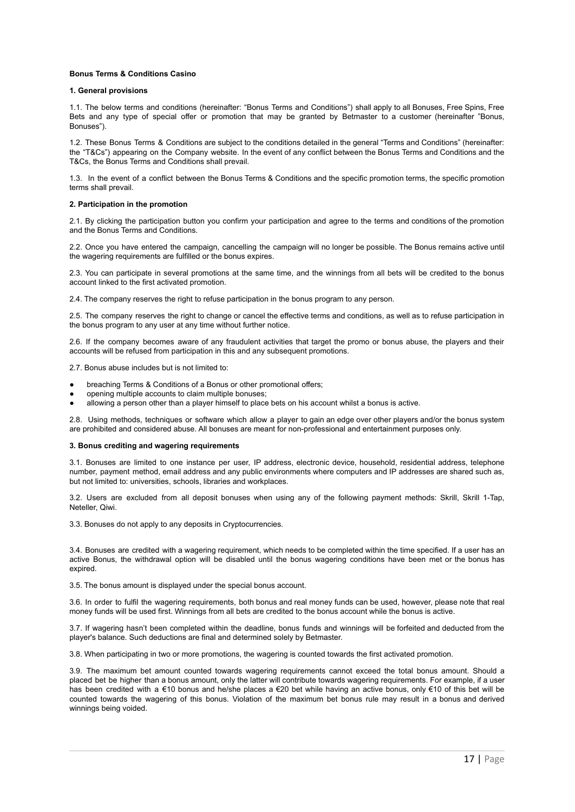#### **Bonus Terms & Conditions Casino**

#### **1. General provisions**

1.1. The below terms and conditions (hereinafter: "Bonus Terms and Conditions") shall apply to all Bonuses, Free Spins, Free Bets and any type of special offer or promotion that may be granted by Betmaster to a customer (hereinafter "Bonus, Bonuses").

1.2. These Bonus Terms & Conditions are subject to the conditions detailed in the general "Terms and Conditions" (hereinafter: the "T&Cs") appearing on the Company website. In the event of any conflict between the Bonus Terms and Conditions and the T&Cs, the Bonus Terms and Conditions shall prevail.

1.3. In the event of a conflict between the Bonus Terms & Conditions and the specific promotion terms, the specific promotion terms shall prevail.

#### **2. Participation in the promotion**

2.1. By clicking the participation button you confirm your participation and agree to the terms and conditions of the promotion and the Bonus Terms and Conditions.

2.2. Once you have entered the campaign, cancelling the campaign will no longer be possible. The Bonus remains active until the wagering requirements are fulfilled or the bonus expires.

2.3. You can participate in several promotions at the same time, and the winnings from all bets will be credited to the bonus account linked to the first activated promotion.

2.4. The company reserves the right to refuse participation in the bonus program to any person.

2.5. The company reserves the right to change or cancel the effective terms and conditions, as well as to refuse participation in the bonus program to any user at any time without further notice.

2.6. If the company becomes aware of any fraudulent activities that target the promo or bonus abuse, the players and their accounts will be refused from participation in this and any subsequent promotions.

2.7. Bonus abuse includes but is not limited to:

- breaching Terms & Conditions of a Bonus or other promotional offers;
- opening multiple accounts to claim multiple bonuses;
- allowing a person other than a player himself to place bets on his account whilst a bonus is active.

2.8. Using methods, techniques or software which allow a player to gain an edge over other players and/or the bonus system are prohibited and considered abuse. All bonuses are meant for non-professional and entertainment purposes only.

## **3. Bonus crediting and wagering requirements**

3.1. Bonuses are limited to one instance per user, IP address, electronic device, household, residential address, telephone number, payment method, email address and any public environments where computers and IP addresses are shared such as, but not limited to: universities, schools, libraries and workplaces.

3.2. Users are excluded from all deposit bonuses when using any of the following payment methods: Skrill, Skrill 1-Tap, Neteller, Qiwi.

3.3. Bonuses do not apply to any deposits in Cryptocurrencies.

3.4. Bonuses are credited with a wagering requirement, which needs to be completed within the time specified. If a user has an active Bonus, the withdrawal option will be disabled until the bonus wagering conditions have been met or the bonus has expired.

3.5. The bonus amount is displayed under the special bonus account.

3.6. In order to fulfil the wagering requirements, both bonus and real money funds can be used, however, please note that real money funds will be used first. Winnings from all bets are credited to the bonus account while the bonus is active.

3.7. If wagering hasn't been completed within the deadline, bonus funds and winnings will be forfeited and deducted from the player's balance. Such deductions are final and determined solely by Betmaster.

3.8. When participating in two or more promotions, the wagering is counted towards the first activated promotion.

3.9. The maximum bet amount counted towards wagering requirements cannot exceed the total bonus amount. Should a placed bet be higher than a bonus amount, only the latter will contribute towards wagering requirements. For example, if a user has been credited with a €10 bonus and he/she places a €20 bet while having an active bonus, only €10 of this bet will be counted towards the wagering of this bonus. Violation of the maximum bet bonus rule may result in a bonus and derived winnings being voided.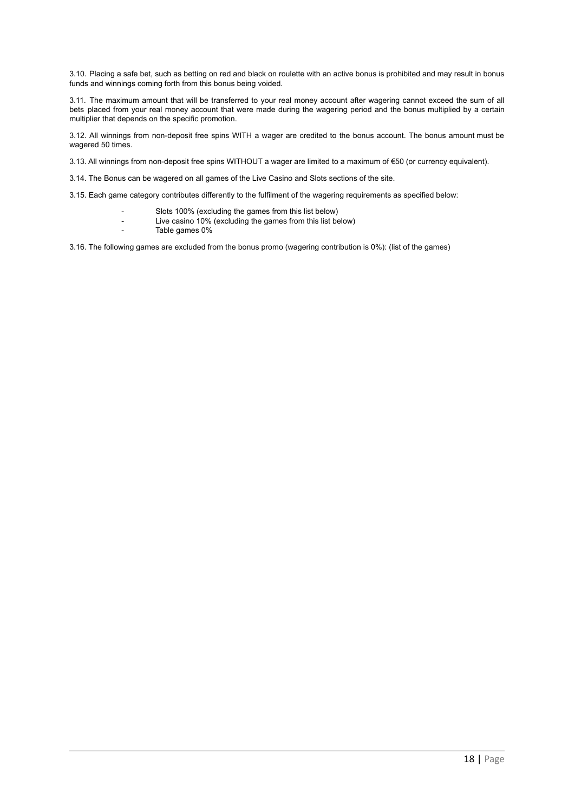3.10. Placing a safe bet, such as betting on red and black on roulette with an active bonus is prohibited and may result in bonus funds and winnings coming forth from this bonus being voided.

3.11. The maximum amount that will be transferred to your real money account after wagering cannot exceed the sum of all bets placed from your real money account that were made during the wagering period and the bonus multiplied by a certain multiplier that depends on the specific promotion.

3.12. All winnings from non-deposit free spins WITH a wager are credited to the bonus account. The bonus amount must be wagered 50 times.

3.13. All winnings from non-deposit free spins WITHOUT a wager are limited to a maximum of €50 (or currency equivalent).

3.14. The Bonus can be wagered on all games of the Live Casino and Slots sections of the site.

3.15. Each game category contributes differently to the fulfilment of the wagering requirements as specified below:

- Slots 100% (excluding the games from this list below)
- Live casino 10% (excluding the games from this list below)
- Table games 0%

3.16. The following games are excluded from the bonus promo (wagering contribution is 0%): (list of the games)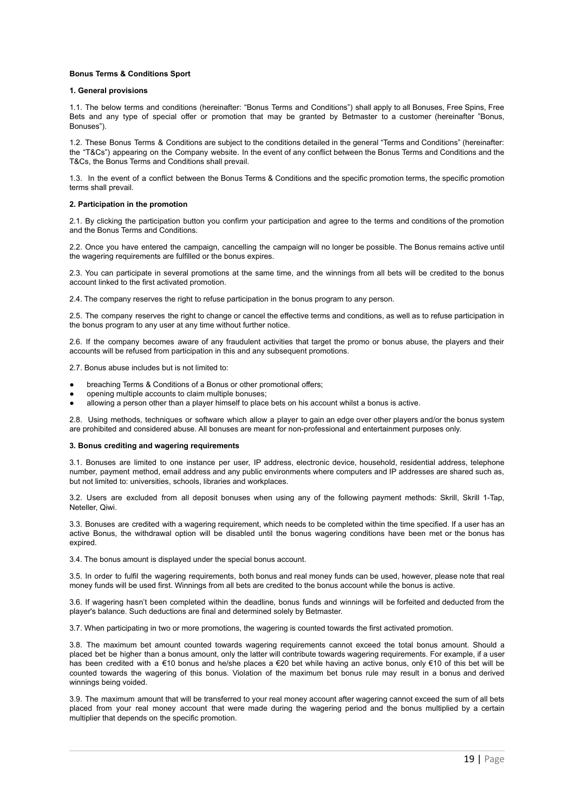#### **Bonus Terms & Conditions Sport**

#### **1. General provisions**

1.1. The below terms and conditions (hereinafter: "Bonus Terms and Conditions") shall apply to all Bonuses, Free Spins, Free Bets and any type of special offer or promotion that may be granted by Betmaster to a customer (hereinafter "Bonus, Bonuses").

1.2. These Bonus Terms & Conditions are subject to the conditions detailed in the general "Terms and Conditions" (hereinafter: the "T&Cs") appearing on the Company website. In the event of any conflict between the Bonus Terms and Conditions and the T&Cs, the Bonus Terms and Conditions shall prevail.

1.3. In the event of a conflict between the Bonus Terms & Conditions and the specific promotion terms, the specific promotion terms shall prevail.

#### **2. Participation in the promotion**

2.1. By clicking the participation button you confirm your participation and agree to the terms and conditions of the promotion and the Bonus Terms and Conditions.

2.2. Once you have entered the campaign, cancelling the campaign will no longer be possible. The Bonus remains active until the wagering requirements are fulfilled or the bonus expires.

2.3. You can participate in several promotions at the same time, and the winnings from all bets will be credited to the bonus account linked to the first activated promotion.

2.4. The company reserves the right to refuse participation in the bonus program to any person.

2.5. The company reserves the right to change or cancel the effective terms and conditions, as well as to refuse participation in the bonus program to any user at any time without further notice.

2.6. If the company becomes aware of any fraudulent activities that target the promo or bonus abuse, the players and their accounts will be refused from participation in this and any subsequent promotions.

2.7. Bonus abuse includes but is not limited to:

- breaching Terms & Conditions of a Bonus or other promotional offers;
- opening multiple accounts to claim multiple bonuses;
- allowing a person other than a player himself to place bets on his account whilst a bonus is active.

2.8. Using methods, techniques or software which allow a player to gain an edge over other players and/or the bonus system are prohibited and considered abuse. All bonuses are meant for non-professional and entertainment purposes only.

#### **3. Bonus crediting and wagering requirements**

3.1. Bonuses are limited to one instance per user, IP address, electronic device, household, residential address, telephone number, payment method, email address and any public environments where computers and IP addresses are shared such as but not limited to: universities, schools, libraries and workplaces.

3.2. Users are excluded from all deposit bonuses when using any of the following payment methods: Skrill, Skrill 1-Tap, Neteller, Qiwi.

3.3. Bonuses are credited with a wagering requirement, which needs to be completed within the time specified. If a user has an active Bonus, the withdrawal option will be disabled until the bonus wagering conditions have been met or the bonus has expired.

3.4. The bonus amount is displayed under the special bonus account.

3.5. In order to fulfil the wagering requirements, both bonus and real money funds can be used, however, please note that real money funds will be used first. Winnings from all bets are credited to the bonus account while the bonus is active.

3.6. If wagering hasn't been completed within the deadline, bonus funds and winnings will be forfeited and deducted from the player's balance. Such deductions are final and determined solely by Betmaster.

3.7. When participating in two or more promotions, the wagering is counted towards the first activated promotion.

3.8. The maximum bet amount counted towards wagering requirements cannot exceed the total bonus amount. Should a placed bet be higher than a bonus amount, only the latter will contribute towards wagering requirements. For example, if a user has been credited with a €10 bonus and he/she places a €20 bet while having an active bonus, only €10 of this bet will be counted towards the wagering of this bonus. Violation of the maximum bet bonus rule may result in a bonus and derived winnings being voided.

3.9. The maximum amount that will be transferred to your real money account after wagering cannot exceed the sum of all bets placed from your real money account that were made during the wagering period and the bonus multiplied by a certain multiplier that depends on the specific promotion.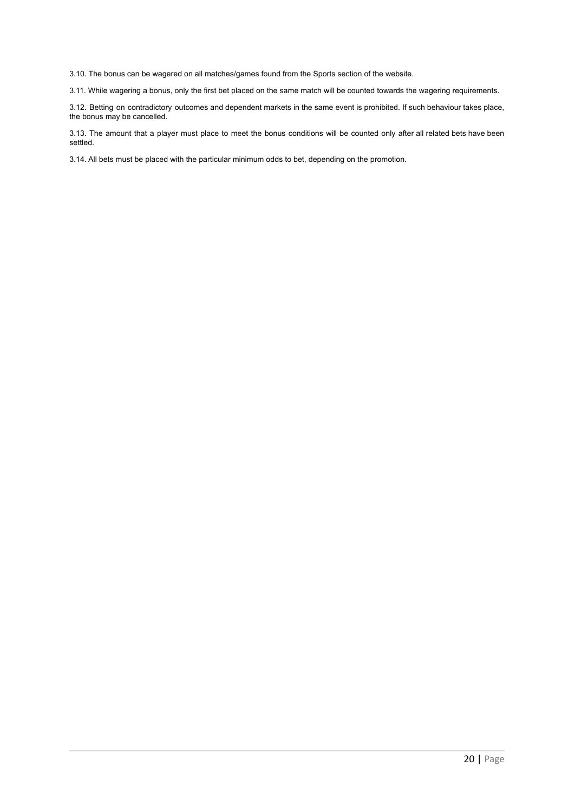3.10. The bonus can be wagered on all matches/games found from the Sports section of the website.

3.11. While wagering a bonus, only the first bet placed on the same match will be counted towards the wagering requirements.

3.12. Betting on contradictory outcomes and dependent markets in the same event is prohibited. If such behaviour takes place, the bonus may be cancelled.

3.13. The amount that a player must place to meet the bonus conditions will be counted only after all related bets have been settled.

3.14. All bets must be placed with the particular minimum odds to bet, depending on the promotion.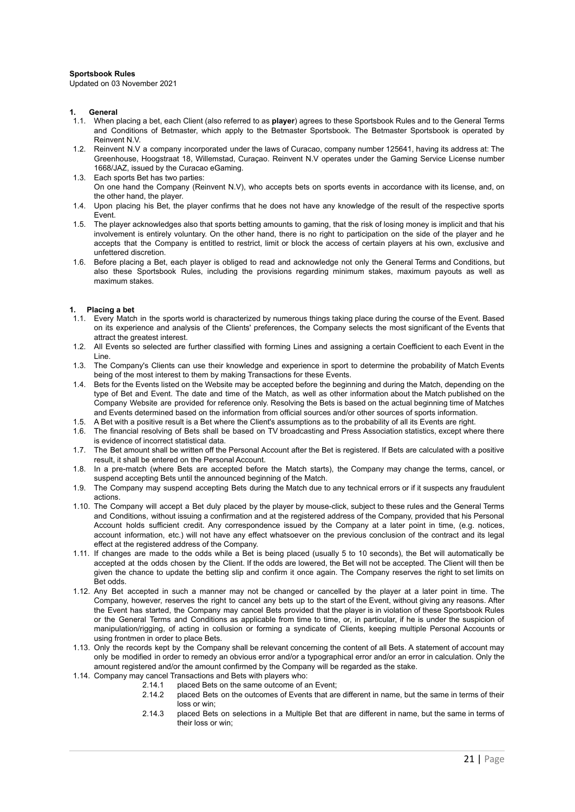#### **Sportsbook Rules**

Updated on 03 November 2021

#### **1. General**

- 1.1. When placing a bet, each Client (also referred to as **player**) agrees to these Sportsbook Rules and to the General Terms and Conditions of Betmaster, which apply to the Betmaster Sportsbook. The Betmaster Sportsbook is operated by Reinvent N.V.
- 1.2. Reinvent N.V a company incorporated under the laws of Curacao, company number 125641, having its address at: The Greenhouse, Hoogstraat 18, Willemstad, Curaçao. Reinvent N.V operates under the Gaming Service License number 1668/JAZ, issued by the Curacao eGaming.
- 1.3. Each sports Bet has two parties: On one hand the Company (Reinvent N.V), who accepts bets on sports events in accordance with its license, and, on the other hand, the player.
- 1.4. Upon placing his Bet, the player confirms that he does not have any knowledge of the result of the respective sports Event.
- 1.5. The player acknowledges also that sports betting amounts to gaming, that the risk of losing money is implicit and that his involvement is entirely voluntary. On the other hand, there is no right to participation on the side of the player and he accepts that the Company is entitled to restrict, limit or block the access of certain players at his own, exclusive and unfettered discretion.
- 1.6. Before placing a Bet, each player is obliged to read and acknowledge not only the General Terms and Conditions, but also these Sportsbook Rules, including the provisions regarding minimum stakes, maximum payouts as well as maximum stakes.

# **1. Placing a bet**

- 1.1. Every Match in the sports world is characterized by numerous things taking place during the course of the Event. Based on its experience and analysis of the Clients' preferences, the Company selects the most significant of the Events that attract the greatest interest.
- 1.2. All Events so selected are further classified with forming Lines and assigning a certain Coefficient to each Event in the Line.
- 1.3. The Company's Clients can use their knowledge and experience in sport to determine the probability of Match Events being of the most interest to them by making Transactions for these Events.
- 1.4. Bets for the Events listed on the Website may be accepted before the beginning and during the Match, depending on the type of Bet and Event. The date and time of the Match, as well as other information about the Match published on the Company Website are provided for reference only. Resolving the Bets is based on the actual beginning time of Matches and Events determined based on the information from official sources and/or other sources of sports information.
- 1.5. A Bet with a positive result is a Bet where the Client's assumptions as to the probability of all its Events are right.
- 1.6. The financial resolving of Bets shall be based on TV broadcasting and Press Association statistics, except where there is evidence of incorrect statistical data.
- 1.7. The Bet amount shall be written off the Personal Account after the Bet is registered. If Bets are calculated with a positive result, it shall be entered on the Personal Account.
- 1.8. In a pre-match (where Bets are accepted before the Match starts), the Company may change the terms, cancel, or suspend accepting Bets until the announced beginning of the Match.
- 1.9. The Company may suspend accepting Bets during the Match due to any technical errors or if it suspects any fraudulent actions.
- 1.10. The Company will accept a Bet duly placed by the player by mouse-click, subject to these rules and the General Terms and Conditions, without issuing a confirmation and at the registered address of the Company, provided that his Personal Account holds sufficient credit. Any correspondence issued by the Company at a later point in time, (e.g. notices, account information, etc.) will not have any effect whatsoever on the previous conclusion of the contract and its legal effect at the registered address of the Company.
- 1.11. If changes are made to the odds while a Bet is being placed (usually 5 to 10 seconds), the Bet will automatically be accepted at the odds chosen by the Client. If the odds are lowered, the Bet will not be accepted. The Client will then be given the chance to update the betting slip and confirm it once again. The Company reserves the right to set limits on Bet odds.
- 1.12. Any Bet accepted in such a manner may not be changed or cancelled by the player at a later point in time. The Company, however, reserves the right to cancel any bets up to the start of the Event, without giving any reasons. After the Event has started, the Company may cancel Bets provided that the player is in violation of these Sportsbook Rules or the General Terms and Conditions as applicable from time to time, or, in particular, if he is under the suspicion of manipulation/rigging, of acting in collusion or forming a syndicate of Clients, keeping multiple Personal Accounts or using frontmen in order to place Bets.
- 1.13. Only the records kept by the Company shall be relevant concerning the content of all Bets. A statement of account may only be modified in order to remedy an obvious error and/or a typographical error and/or an error in calculation. Only the amount registered and/or the amount confirmed by the Company will be regarded as the stake.
- 1.14. Company may cancel Transactions and Bets with players who:
	- 2.14.1 placed Bets on the same outcome of an Event;
	- 2.14.2 placed Bets on the outcomes of Events that are different in name, but the same in terms of their loss or win;
	- 2.14.3 placed Bets on selections in a Multiple Bet that are different in name, but the same in terms of their loss or win;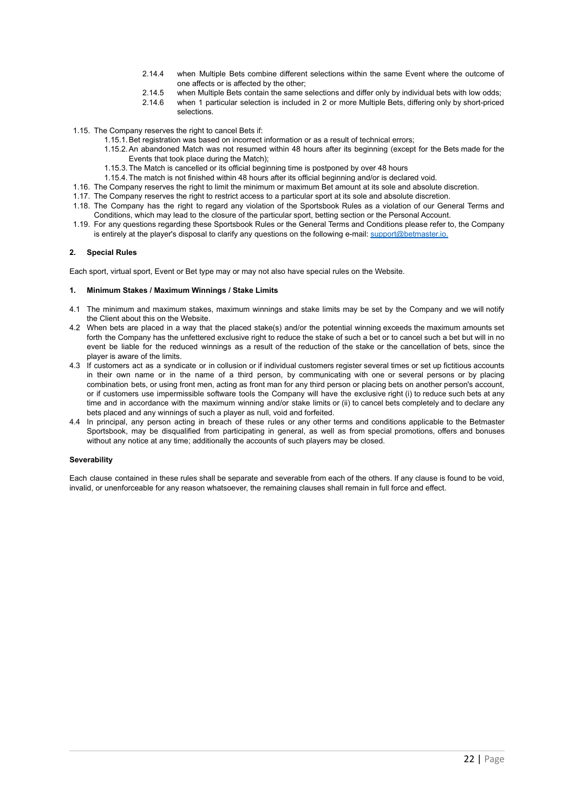- 2.14.4 when Multiple Bets combine different selections within the same Event where the outcome of one affects or is affected by the other;
- 2.14.5 when Multiple Bets contain the same selections and differ only by individual bets with low odds;
- 2.14.6 when 1 particular selection is included in 2 or more Multiple Bets, differing only by short-priced selections.
- 1.15. The Company reserves the right to cancel Bets if:
	- 1.15.1.Bet registration was based on incorrect information or as a result of technical errors;
	- 1.15.2.An abandoned Match was not resumed within 48 hours after its beginning (except for the Bets made for the Events that took place during the Match);
	- 1.15.3.The Match is cancelled or its official beginning time is postponed by over 48 hours
	- 1.15.4.The match is not finished within 48 hours after its official beginning and/or is declared void.
- 1.16. The Company reserves the right to limit the minimum or maximum Bet amount at its sole and absolute discretion.
- 1.17. The Company reserves the right to restrict access to a particular sport at its sole and absolute discretion.
- 1.18. The Company has the right to regard any violation of the Sportsbook Rules as a violation of our General Terms and Conditions, which may lead to the closure of the particular sport, betting section or the Personal Account.
- 1.19. For any questions regarding these Sportsbook Rules or the General Terms and Conditions please refer to, the Company is entirely at the player's disposal to clarify any questions on the following e-mail: support@betmaster.io.

## **2. Special Rules**

Each sport, virtual sport, Event or Bet type may or may not also have special rules on the Website.

#### **1. Minimum Stakes / Maximum Winnings / Stake Limits**

- 4.1 The minimum and maximum stakes, maximum winnings and stake limits may be set by the Company and we will notify the Client about this on the Website.
- 4.2 When bets are placed in a way that the placed stake(s) and/or the potential winning exceeds the maximum amounts set forth the Company has the unfettered exclusive right to reduce the stake of such a bet or to cancel such a bet but will in no event be liable for the reduced winnings as a result of the reduction of the stake or the cancellation of bets, since the player is aware of the limits.
- 4.3 If customers act as a syndicate or in collusion or if individual customers register several times or set up fictitious accounts in their own name or in the name of a third person, by communicating with one or several persons or by placing combination bets, or using front men, acting as front man for any third person or placing bets on another person's account, or if customers use impermissible software tools the Company will have the exclusive right (i) to reduce such bets at any time and in accordance with the maximum winning and/or stake limits or (ii) to cancel bets completely and to declare any bets placed and any winnings of such a player as null, void and forfeited.
- 4.4 In principal, any person acting in breach of these rules or any other terms and conditions applicable to the Betmaster Sportsbook, may be disqualified from participating in general, as well as from special promotions, offers and bonuses without any notice at any time; additionally the accounts of such players may be closed.

#### **Severability**

Each clause contained in these rules shall be separate and severable from each of the others. If any clause is found to be void, invalid, or unenforceable for any reason whatsoever, the remaining clauses shall remain in full force and effect.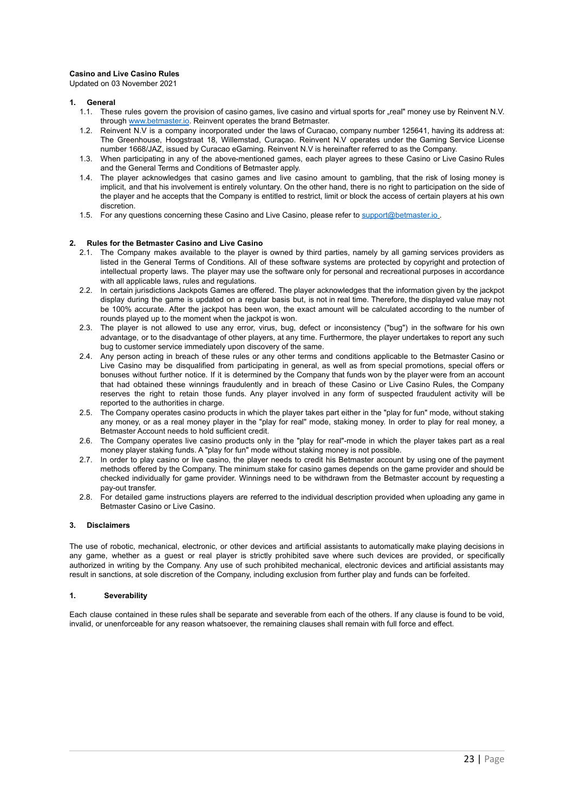## **Casino and Live Casino Rules**

Updated on 03 November 2021

#### **1. General**

- 1.1. These rules govern the provision of casino games, live casino and virtual sports for .real" money use by Reinvent N.V. through [www.betmaster.io](http://www.betmaster.io). Reinvent operates the brand Betmaster.
- 1.2. Reinvent N.V is a company incorporated under the laws of Curacao, company number 125641, having its address at: The Greenhouse, Hoogstraat 18, Willemstad, Curaçao. Reinvent N.V operates under the Gaming Service License number 1668/JAZ, issued by Curacao eGaming. Reinvent N.V is hereinafter referred to as the Company.
- 1.3. When participating in any of the above-mentioned games, each player agrees to these Casino or Live Casino Rules and the General Terms and Conditions of Betmaster apply.
- 1.4. The player acknowledges that casino games and live casino amount to gambling, that the risk of losing money is implicit, and that his involvement is entirely voluntary. On the other hand, there is no right to participation on the side of the player and he accepts that the Company is entitled to restrict, limit or block the access of certain players at his own discretion.
- 1.5. For any questions concerning these Casino and Live Casino, please refer to support@betmaster.jo

#### **2. Rules for the Betmaster Casino and Live Casino**

- 2.1. The Company makes available to the player is owned by third parties, namely by all gaming services providers as listed in the General Terms of Conditions. All of these software systems are protected by copyright and protection of intellectual property laws. The player may use the software only for personal and recreational purposes in accordance with all applicable laws, rules and regulations.
- 2.2. In certain jurisdictions Jackpots Games are offered. The player acknowledges that the information given by the jackpot display during the game is updated on a regular basis but, is not in real time. Therefore, the displayed value may not be 100% accurate. After the jackpot has been won, the exact amount will be calculated according to the number of rounds played up to the moment when the jackpot is won.
- 2.3. The player is not allowed to use any error, virus, bug, defect or inconsistency ("bug") in the software for his own advantage, or to the disadvantage of other players, at any time. Furthermore, the player undertakes to report any such bug to customer service immediately upon discovery of the same.
- 2.4. Any person acting in breach of these rules or any other terms and conditions applicable to the Betmaster Casino or Live Casino may be disqualified from participating in general, as well as from special promotions, special offers or bonuses without further notice. If it is determined by the Company that funds won by the player were from an account that had obtained these winnings fraudulently and in breach of these Casino or Live Casino Rules, the Company reserves the right to retain those funds. Any player involved in any form of suspected fraudulent activity will be reported to the authorities in charge.
- 2.5. The Company operates casino products in which the player takes part either in the "play for fun" mode, without staking any money, or as a real money player in the "play for real" mode, staking money. In order to play for real money, a Betmaster Account needs to hold sufficient credit.
- 2.6. The Company operates live casino products only in the "play for real"-mode in which the player takes part as a real money player staking funds. A "play for fun" mode without staking money is not possible.
- 2.7. In order to play casino or live casino, the player needs to credit his Betmaster account by using one of the payment methods offered by the Company. The minimum stake for casino games depends on the game provider and should be checked individually for game provider. Winnings need to be withdrawn from the Betmaster account by requesting a pay-out transfer.
- 2.8. For detailed game instructions players are referred to the individual description provided when uploading any game in Betmaster Casino or Live Casino.

#### **3. Disclaimers**

The use of robotic, mechanical, electronic, or other devices and artificial assistants to automatically make playing decisions in any game, whether as a guest or real player is strictly prohibited save where such devices are provided, or specifically authorized in writing by the Company. Any use of such prohibited mechanical, electronic devices and artificial assistants may result in sanctions, at sole discretion of the Company, including exclusion from further play and funds can be forfeited.

## **1. Severability**

Each clause contained in these rules shall be separate and severable from each of the others. If any clause is found to be void, invalid, or unenforceable for any reason whatsoever, the remaining clauses shall remain with full force and effect.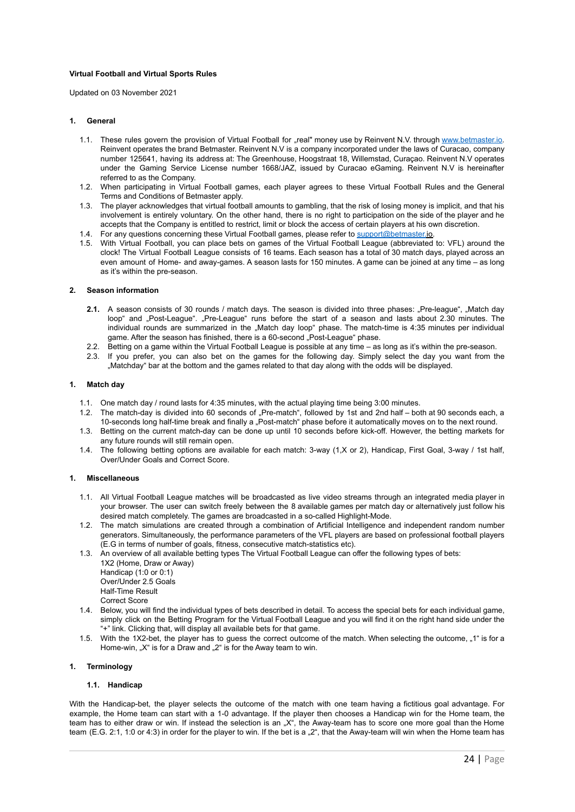#### **Virtual Football and Virtual Sports Rules**

Updated on 03 November 2021

### **1. General**

- 1.1. These rules govern the provision of Virtual Football for "real" money use by Reinvent N.V. through [www.betmaster.io.](http://www.betmaster.io) Reinvent operates the brand Betmaster. Reinvent N.V is a company incorporated under the laws of Curacao, company number 125641, having its address at: The Greenhouse, Hoogstraat 18, Willemstad, Curaçao. Reinvent N.V operates under the Gaming Service License number 1668/JAZ, issued by Curacao eGaming. Reinvent N.V is hereinafter referred to as the Company.
- 1.2. When participating in Virtual Football games, each player agrees to these Virtual Football Rules and the General Terms and Conditions of Betmaster apply.
- 1.3. The player acknowledges that virtual football amounts to gambling, that the risk of losing money is implicit, and that his involvement is entirely voluntary. On the other hand, there is no right to participation on the side of the player and he accepts that the Company is entitled to restrict, limit or block the access of certain players at his own discretion.
- 1.4. For any questions concerning these Virtual Football games, please refer to support@betmaster.io.
- 1.5. With Virtual Football, you can place bets on games of the Virtual Football League (abbreviated to: VFL) around the clock! The Virtual Football League consists of 16 teams. Each season has a total of 30 match days, played across an even amount of Home- and away-games. A season lasts for 150 minutes. A game can be joined at any time – as long as it's within the pre-season.

# **2. Season information**

- **2.1.** A season consists of 30 rounds / match days. The season is divided into three phases: "Pre-league", "Match day loop" and "Post-League". "Pre-League" runs before the start of a season and lasts about 2.30 minutes. The individual rounds are summarized in the "Match day loop" phase. The match-time is 4:35 minutes per individual game. After the season has finished, there is a 60-second "Post-League" phase.
- 2.2. Betting on a game within the Virtual Football League is possible at any time as long as it's within the pre-season.
- 2.3. If you prefer, you can also bet on the games for the following day. Simply select the day you want from the "Matchday" bar at the bottom and the games related to that day along with the odds will be displayed.

#### **1. Match day**

- 1.1. One match day / round lasts for 4:35 minutes, with the actual playing time being 3:00 minutes.
- 1.2. The match-day is divided into 60 seconds of "Pre-match", followed by 1st and 2nd half both at 90 seconds each, a 10-seconds long half-time break and finally a "Post-match" phase before it automatically moves on to the next round.
- 1.3. Betting on the current match-day can be done up until 10 seconds before kick-off. However, the betting markets for any future rounds will still remain open.
- 1.4. The following betting options are available for each match: 3-way (1,X or 2), Handicap, First Goal, 3-way / 1st half, Over/Under Goals and Correct Score.

#### **1. Miscellaneous**

- 1.1. All Virtual Football League matches will be broadcasted as live video streams through an integrated media player in your browser. The user can switch freely between the 8 available games per match day or alternatively just follow his desired match completely. The games are broadcasted in a so-called Highlight-Mode.
- 1.2. The match simulations are created through a combination of Artificial Intelligence and independent random number generators. Simultaneously, the performance parameters of the VFL players are based on professional football players (E.G in terms of number of goals, fitness, consecutive match-statistics etc).
- 1.3. An overview of all available betting types The Virtual Football League can offer the following types of bets: 1X2 (Home, Draw or Away)

Handicap (1:0 or 0:1) Over/Under 2.5 Goals

Half-Time Result

Correct Score

- 1.4. Below, you will find the individual types of bets described in detail. To access the special bets for each individual game, simply click on the Betting Program for the Virtual Football League and you will find it on the right hand side under the "+" link. Clicking that, will display all available bets for that game.
- 1.5. With the 1X2-bet, the player has to guess the correct outcome of the match. When selecting the outcome, "1" is for a Home-win, "X" is for a Draw and "2" is for the Away team to win.

#### **1. Terminology**

#### **1.1. Handicap**

With the Handicap-bet, the player selects the outcome of the match with one team having a fictitious goal advantage. For example, the Home team can start with a 1-0 advantage. If the player then chooses a Handicap win for the Home team, the team has to either draw or win. If instead the selection is an "X", the Away-team has to score one more goal than the Home team (E.G. 2:1, 1:0 or 4:3) in order for the player to win. If the bet is a "2", that the Away-team will win when the Home team has